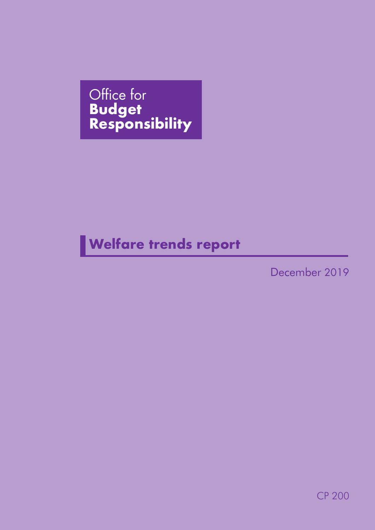Office for **Budget Responsibility** 

## **Welfare trends report**

December 2019

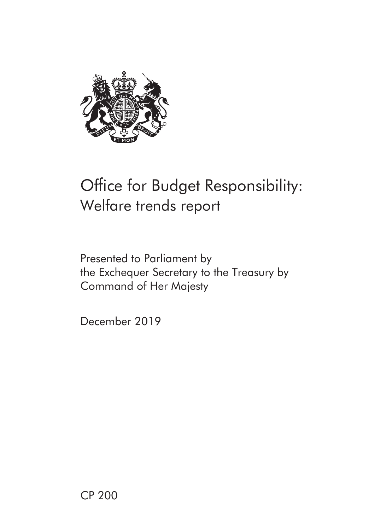

# Office for Budget Responsibility: Welfare trends report

## Presented to Parliament by the Exchequer Secretary to the Treasury by Command of Her Majesty

December 2019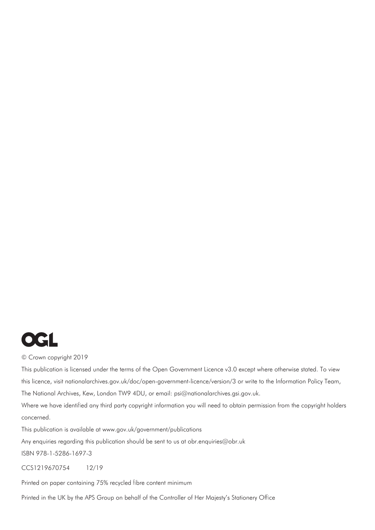

#### © Crown copyright 2019

This publication is licensed under the terms of the Open Government Licence v3.0 except where otherwise stated. To view this licence, [visit nationalarchives.gov.uk/doc/open-government-licence/versio](http://nationalarchives.gov.uk/doc/open-government-licence/version/3)[n/3 or w](mailto:psi%40nationalarchives.gsi.gov.uk?subject=)rite to the Information Policy Team, The National Archives, Kew, London TW9 4DU, or email: psi@nationalarchives.gsi.gov.uk.

Where we have identified any third party copyright information you will need to obtain permission from the copyright holders concerned.

This publication is available at [www.gov.uk/government/publications](http://www.gov.uk/government/publications) 

Any enquiries regarding this publication should be sent to us at [obr.enquiries@obr.u](mailto:obr.enquiries%40obr.uk?subject=)k

ISBN 978-1-5286-1697-3

CCS1219670754 12/19

Printed on paper containing 75% recycled fibre content minimum

Printed in the UK by the APS Group on behalf of the Controller of Her Majesty's Stationery Office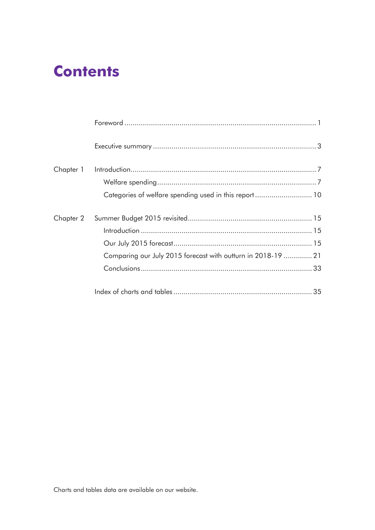## **Contents**

| Chapter 1 |                                                              |
|-----------|--------------------------------------------------------------|
|           |                                                              |
|           |                                                              |
| Chapter 2 |                                                              |
|           |                                                              |
|           |                                                              |
|           | Comparing our July 2015 forecast with outturn in 2018-19  21 |
|           |                                                              |
|           |                                                              |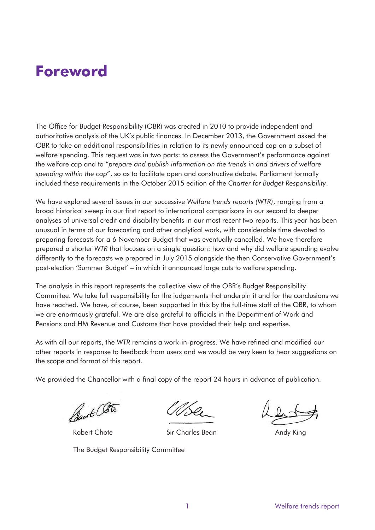## <span id="page-4-0"></span>**Foreword**

 the welfare cap and to "*prepare and publish information on the trends in and drivers of welfare*  included these requirements in the October 2015 edition of the *Charter for Budget Responsibility*. The Office for Budget Responsibility (OBR) was created in 2010 to provide independent and authoritative analysis of the UK's public finances. In December 2013, the Government asked the OBR to take on additional responsibilities in relation to its newly announced cap on a subset of welfare spending. This request was in two parts: to assess the Government's performance against *spending within the cap*", so as to facilitate open and constructive debate. Parliament formally

 We have explored several issues in our successive *Welfare trends reports (WTR)*, ranging from a broad historical sweep in our first report to international comparisons in our second to deeper analyses of universal credit and disability benefits in our most recent two reports. This year has been unusual in terms of our forecasting and other analytical work, with considerable time devoted to preparing forecasts for a 6 November Budget that was eventually cancelled. We have therefore prepared a shorter *WTR* that focuses on a single question: how and why did welfare spending evolve differently to the forecasts we prepared in July 2015 alongside the then Conservative Government's post-election 'Summer Budget' – in which it announced large cuts to welfare spending.

The analysis in this report represents the collective view of the OBR's Budget Responsibility Committee. We take full responsibility for the judgements that underpin it and for the conclusions we have reached. We have, of course, been supported in this by the full-time staff of the OBR, to whom we are enormously grateful. We are also grateful to officials in the Department of Work and Pensions and HM Revenue and Customs that have provided their help and expertise.

As with all our reports, the *WTR* remains a work-in-progress. We have refined and modified our other reports in response to feedback from users and we would be very keen to hear suggestions on the scope and format of this report.

We provided the Chancellor with a final copy of the report 24 hours in advance of publication.

Best Otto

The Budget Responsibility Committee

Robert Chote **Sir Charles Bean** Andy King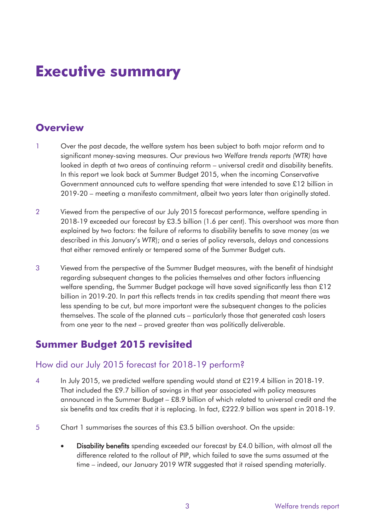## <span id="page-6-0"></span>**Executive summary**

## **Overview**

- significant money-saving measures. Our previous two *Welfare trends reports (WTR)* have 1 Over the past decade, the welfare system has been subject to both major reform and to looked in depth at two areas of continuing reform – universal credit and disability benefits. In this report we look back at Summer Budget 2015, when the incoming Conservative Government announced cuts to welfare spending that were intended to save £12 billion in 2019-20 – meeting a manifesto commitment, albeit two years later than originally stated.
- 2 Viewed from the perspective of our July 2015 forecast performance, welfare spending in 2018-19 exceeded our forecast by £3.5 billion (1.6 per cent). This overshoot was more than explained by two factors: the failure of reforms to disability benefits to save money (as we described in this January's *WTR*); and a series of policy reversals, delays and concessions that either removed entirely or tempered some of the Summer Budget cuts.
- 3 Viewed from the perspective of the Summer Budget measures, with the benefit of hindsight regarding subsequent changes to the policies themselves and other factors influencing welfare spending, the Summer Budget package will have saved significantly less than £12 billion in 2019-20. In part this reflects trends in tax credits spending that meant there was less spending to be cut, but more important were the subsequent changes to the policies themselves. The scale of the planned cuts – particularly those that generated cash losers from one year to the next – proved greater than was politically deliverable.

## **Summer Budget 2015 revisited**

#### How did our July 2015 forecast for 2018-19 perform?

- 4 In July 2015, we predicted welfare spending would stand at £219.4 billion in 2018-19. That included the £9.7 billion of savings in that year associated with policy measures announced in the Summer Budget – £8.9 billion of which related to universal credit and the six benefits and tax credits that it is replacing. In fact, £222.9 billion was spent in 2018-19.
- 5 Chart 1 summarises the sources of this £3.5 billion overshoot. On the upside:
	- Disability benefits spending exceeded our forecast by  $£4.0$  billion, with almost all the difference related to the rollout of PIP, which failed to save the sums assumed at the time – indeed, our January 2019 *WTR* suggested that it raised spending materially.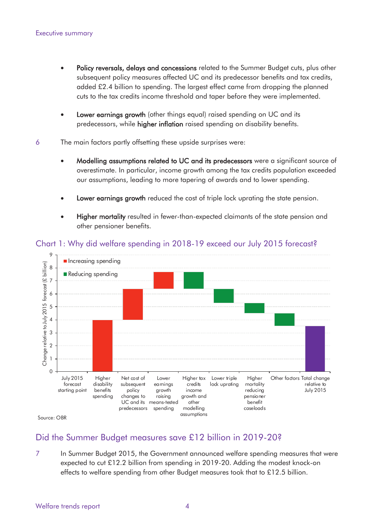- <span id="page-7-0"></span> added £2.4 billion to spending. The largest effect came from dropping the planned • Policy reversals, delays and concessions related to the Summer Budget cuts, plus other subsequent policy measures affected UC and its predecessor benefits and tax credits, cuts to the tax credits income threshold and taper before they were implemented.
- Lower earnings growth (other things equal) raised spending on UC and its predecessors, while higher inflation raised spending on disability benefits.
- 6 The main factors partly offsetting these upside surprises were:
	- Modelling assumptions related to UC and its predecessors were a significant source of overestimate. In particular, income growth among the tax credits population exceeded our assumptions, leading to more tapering of awards and to lower spending.
	- Lower earnings growth reduced the cost of triple lock uprating the state pension.
	- Higher mortality resulted in fewer-than-expected claimants of the state pension and other pensioner benefits.



#### Chart 1: Why did welfare spending in 2018-19 exceed our July 2015 forecast?

Source: OBR

#### Did the Summer Budget measures save £12 billion in 2019-20?

In Summer Budget 2015, the Government announced welfare spending measures that were expected to cut £12.2 billion from spending in 2019-20. Adding the modest knock-on effects to welfare spending from other Budget measures took that to £12.5 billion. 7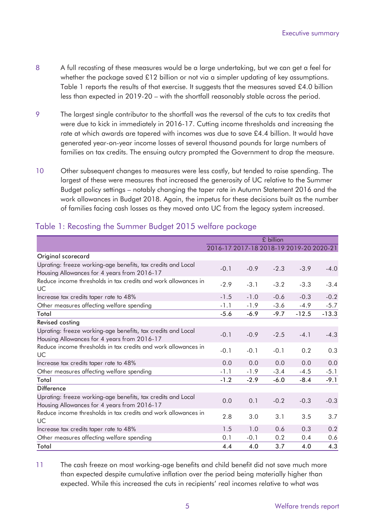- <span id="page-8-0"></span>8 A full recosting of these measures would be a large undertaking, but we can get a feel for whether the package saved £12 billion or not via a simpler updating of key assumptions. Table 1 reports the results of that exercise. It suggests that the measures saved £4.0 billion less than expected in 2019-20 – with the shortfall reasonably stable across the period.
- 9 The largest single contributor to the shortfall was the reversal of the cuts to tax credits that were due to kick in immediately in 2016-17. Cutting income thresholds and increasing the rate at which awards are tapered with incomes was due to save £4.4 billion. It would have generated year-on-year income losses of several thousand pounds for large numbers of families on tax credits. The ensuing outcry prompted the Government to drop the measure.
- 10 Other subsequent changes to measures were less costly, but tended to raise spending. The largest of these were measures that increased the generosity of UC relative to the Summer Budget policy settings – notably changing the taper rate in Autumn Statement 2016 and the work allowances in Budget 2018. Again, the impetus for these decisions built as the number of families facing cash losses as they moved onto UC from the legacy system increased.

|                                                                                                             |        |        | £ billion                               |         |         |
|-------------------------------------------------------------------------------------------------------------|--------|--------|-----------------------------------------|---------|---------|
|                                                                                                             |        |        | 2016-17 2017-18 2018-19 2019-20 2020-21 |         |         |
| Original scorecard                                                                                          |        |        |                                         |         |         |
| Uprating: freeze working-age benefits, tax credits and Local<br>Housing Allowances for 4 years from 2016-17 | $-0.1$ | $-0.9$ | $-2.3$                                  | $-3.9$  | $-4.0$  |
| Reduce income thresholds in tax credits and work allowances in<br>UC                                        | $-2.9$ | $-3.1$ | $-3.2$                                  | $-3.3$  | $-3.4$  |
| Increase tax credits taper rate to 48%                                                                      | $-1.5$ | $-1.0$ | $-0.6$                                  | $-0.3$  | $-0.2$  |
| Other measures affecting welfare spending                                                                   | $-1.1$ | $-1.9$ | $-3.6$                                  | $-4.9$  | $-5.7$  |
| Total                                                                                                       | $-5.6$ | $-6.9$ | $-9.7$                                  | $-12.5$ | $-13.3$ |
| <b>Revised costing</b>                                                                                      |        |        |                                         |         |         |
| Uprating: freeze working-age benefits, tax credits and Local<br>Housing Allowances for 4 years from 2016-17 | $-0.1$ | $-0.9$ | $-2.5$                                  | $-4.1$  | $-4.3$  |
| Reduce income thresholds in tax credits and work allowances in<br>UC                                        | $-0.1$ | $-0.1$ | $-0.1$                                  | 0.2     | 0.3     |
| Increase tax credits taper rate to 48%                                                                      | 0.0    | 0.0    | 0.0                                     | 0.0     | 0.0     |
| Other measures affecting welfare spending                                                                   | $-1.1$ | $-1.9$ | $-3.4$                                  | $-4.5$  | $-5.1$  |
| Total                                                                                                       | $-1.2$ | $-2.9$ | $-6.0$                                  | $-8.4$  | $-9.1$  |
| <b>Difference</b>                                                                                           |        |        |                                         |         |         |
| Uprating: freeze working-age benefits, tax credits and Local<br>Housing Allowances for 4 years from 2016-17 | 0.0    | 0.1    | $-0.2$                                  | $-0.3$  | $-0.3$  |
| Reduce income thresholds in tax credits and work allowances in<br><b>UC</b>                                 | 2.8    | 3.0    | 3.1                                     | 3.5     | 3.7     |
| Increase tax credits taper rate to 48%                                                                      | 1.5    | 1.0    | 0.6                                     | 0.3     | 0.2     |
| Other measures affecting welfare spending                                                                   | 0.1    | $-0.1$ | 0.2                                     | 0.4     | 0.6     |
| Total                                                                                                       | 4.4    | 4.0    | 3.7                                     | 4.0     | 4.3     |
|                                                                                                             |        |        |                                         |         |         |

### Table 1: Recosting the Summer Budget 2015 welfare package

11 The cash freeze on most working-age benefits and child benefit did not save much more than expected despite cumulative inflation over the period being materially higher than expected. While this increased the cuts in recipients' real incomes relative to what was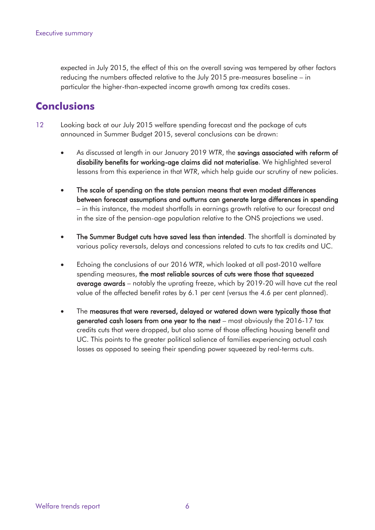expected in July 2015, the effect of this on the overall saving was tempered by other factors reducing the numbers affected relative to the July 2015 pre-measures baseline – in particular the higher-than-expected income growth among tax credits cases.

### **Conclusions**

- 12 Looking back at our July 2015 welfare spending forecast and the package of cuts announced in Summer Budget 2015, several conclusions can be drawn:
	- As discussed at length in our January 2019 *WTR*, the savings associated with reform of disability benefits for working-age claims did not materialise. We highlighted several lessons from this experience in that *WTR*, which help guide our scrutiny of new policies.
	- between forecast assumptions and outturns can generate large differences in spending • The scale of spending on the state pension means that even modest differences – in this instance, the modest shortfalls in earnings growth relative to our forecast and in the size of the pension-age population relative to the ONS projections we used.
	- The Summer Budget cuts have saved less than intended. The shortfall is dominated by various policy reversals, delays and concessions related to cuts to tax credits and UC.
	- Echoing the conclusions of our 2016 *WTR*, which looked at all post-2010 welfare spending measures, the most reliable sources of cuts were those that squeezed average awards – notably the uprating freeze, which by 2019-20 will have cut the real value of the affected benefit rates by 6.1 per cent (versus the 4.6 per cent planned).
	- losses as opposed to seeing their spending power squeezed by real-terms cuts. • The measures that were reversed, delayed or watered down were typically those that generated cash losers from one year to the next – most obviously the 2016-17 tax credits cuts that were dropped, but also some of those affecting housing benefit and UC. This points to the greater political salience of families experiencing actual cash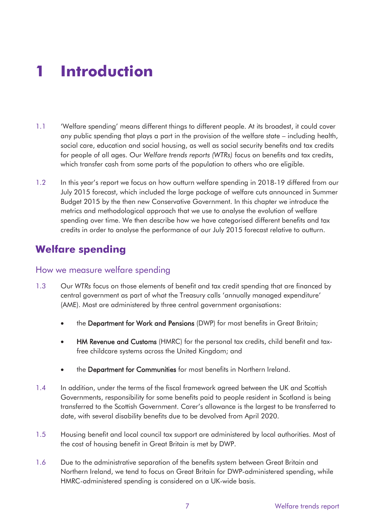# **1 Introduction**

- for people of all ages. Our *Welfare trends reports (WTRs)* focus on benefits and tax credits, 1.1 'Welfare spending' means different things to different people. At its broadest, it could cover any public spending that plays a part in the provision of the welfare state – including health, social care, education and social housing, as well as social security benefits and tax credits which transfer cash from some parts of the population to others who are eligible.
- 1.2 In this year's report we focus on how outturn welfare spending in 2018-19 differed from our July 2015 forecast, which included the large package of welfare cuts announced in Summer Budget 2015 by the then new Conservative Government. In this chapter we introduce the metrics and methodological approach that we use to analyse the evolution of welfare spending over time. We then describe how we have categorised different benefits and tax credits in order to analyse the performance of our July 2015 forecast relative to outturn.

## **Welfare spending**

#### How we measure welfare spending

- 1.3 Our *WTRs* focus on those elements of benefit and tax credit spending that are financed by central government as part of what the Treasury calls 'annually managed expenditure' (AME). Most are administered by three central government organisations:
	- the Department for Work and Pensions (DWP) for most benefits in Great Britain;
	- HM Revenue and Customs (HMRC) for the personal tax credits, child benefit and taxfree childcare systems across the United Kingdom; and
	- the Department for Communities for most benefits in Northern Ireland.
- 1.4 In addition, under the terms of the fiscal framework agreed between the UK and Scottish Governments, responsibility for some benefits paid to people resident in Scotland is being transferred to the Scottish Government. Carer's allowance is the largest to be transferred to date, with several disability benefits due to be devolved from April 2020.
- 1.5 Housing benefit and local council tax support are administered by local authorities. Most of the cost of housing benefit in Great Britain is met by DWP.
- 1.6 Due to the administrative separation of the benefits system between Great Britain and Northern Ireland, we tend to focus on Great Britain for DWP-administered spending, while HMRC-administered spending is considered on a UK-wide basis.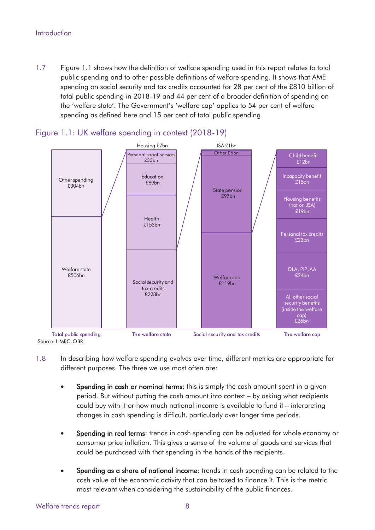#### <span id="page-11-0"></span>Introduction

1.7 Figure 1.1 shows how the definition of welfare spending used in this report relates to total public spending and to other possible definitions of welfare spending. It shows that AME spending on social security and tax credits accounted for 28 per cent of the £810 billion of total public spending in 2018-19 and 44 per cent of a broader definition of spending on the 'welfare state'. The Government's 'welfare cap' applies to 54 per cent of welfare spending as defined here and 15 per cent of total public spending.



#### Figure 1.1: UK welfare spending in context (2018-19)

1.8 In describing how welfare spending evolves over time, different metrics are appropriate for different purposes. The three we use most often are:

- Spending in cash or nominal terms: this is simply the cash amount spent in a given period. But without putting the cash amount into context – by asking what recipients could buy with it or how much national income is available to fund it – interpreting changes in cash spending is difficult, particularly over longer time periods.
- Spending in real terms: trends in cash spending can be adjusted for whole economy or consumer price inflation. This gives a sense of the volume of goods and services that could be purchased with that spending in the hands of the recipients.
- Spending as a share of national income: trends in cash spending can be related to the cash value of the economic activity that can be taxed to finance it. This is the metric most relevant when considering the sustainability of the public finances.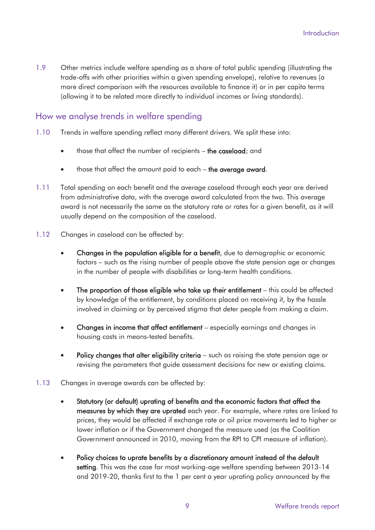1.9 Other metrics include welfare spending as a share of total public spending (illustrating the trade-offs with other priorities within a given spending envelope), relative to revenues (a more direct comparison with the resources available to finance it) or in per capita terms (allowing it to be related more directly to individual incomes or living standards).

#### How we analyse trends in welfare spending

- 1.10 Trends in welfare spending reflect many different drivers. We split these into:
	- those that affect the number of recipients the caseload; and
	- those that affect the amount paid to each the average award.
- 1.11 Total spending on each benefit and the average caseload through each year are derived from administrative data, with the average award calculated from the two. This average award is not necessarily the same as the statutory rate or rates for a given benefit, as it will usually depend on the composition of the caseload.
- 1.12 Changes in caseload can be affected by:
	- Changes in the population eligible for a benefit, due to demographic or economic factors – such as the rising number of people above the state pension age or changes in the number of people with disabilities or long-term health conditions.
	- The proportion of those eligible who take up their entitlement this could be affected by knowledge of the entitlement, by conditions placed on receiving it, by the hassle involved in claiming or by perceived stigma that deter people from making a claim.
	- Changes in income that affect entitlement especially earnings and changes in housing costs in means-tested benefits.
	- Policy changes that alter eligibility criteria such as raising the state pension age or revising the parameters that guide assessment decisions for new or existing claims.
- 1.13 Changes in average awards can be affected by:
	- Statutory (or default) uprating of benefits and the economic factors that affect the measures by which they are uprated each year. For example, where rates are linked to prices, they would be affected if exchange rate or oil price movements led to higher or lower inflation or if the Government changed the measure used (as the Coalition Government announced in 2010, moving from the RPI to CPI measure of inflation).
	- Policy choices to uprate benefits by a discretionary amount instead of the default setting. This was the case for most working-age welfare spending between 2013-14 and 2019-20, thanks first to the 1 per cent a year uprating policy announced by the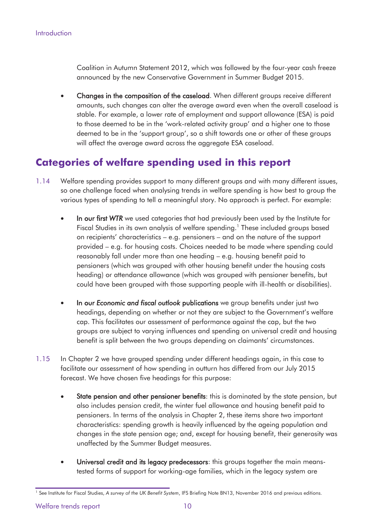<span id="page-13-0"></span>Coalition in Autumn Statement 2012, which was followed by the four-year cash freeze announced by the new Conservative Government in Summer Budget 2015.

• Changes in the composition of the caseload. When different groups receive different amounts, such changes can alter the average award even when the overall caseload is stable. For example, a lower rate of employment and support allowance (ESA) is paid to those deemed to be in the 'work-related activity group' and a higher one to those deemed to be in the 'support group', so a shift towards one or other of these groups will affect the average award across the aggregate ESA caseload.

## **Categories of welfare spending used in this report**

- 1.14 Welfare spending provides support to many different groups and with many different issues, so one challenge faced when analysing trends in welfare spending is how best to group the various types of spending to tell a meaningful story. No approach is perfect. For example:
	- In our first *WTR* we used categories that had previously been used by the Institute for Fiscal Studies in its own analysis of welfare spending.<sup>1</sup> These included groups based on recipients' characteristics – e.g. pensioners – and on the nature of the support provided – e.g. for housing costs. Choices needed to be made where spending could reasonably fall under more than one heading – e.g. housing benefit paid to pensioners (which was grouped with other housing benefit under the housing costs heading) or attendance allowance (which was grouped with pensioner benefits, but could have been grouped with those supporting people with ill-health or disabilities).
	- In our *Economic and fiscal outlook* publications we group benefits under just two headings, depending on whether or not they are subject to the Government's welfare cap. This facilitates our assessment of performance against the cap, but the two groups are subject to varying influences and spending on universal credit and housing benefit is split between the two groups depending on claimants' circumstances.
- 1.15 In Chapter 2 we have grouped spending under different headings again, in this case to facilitate our assessment of how spending in outturn has differed from our July 2015 forecast. We have chosen five headings for this purpose:
	- characteristics: spending growth is heavily influenced by the ageing population and State pension and other pensioner benefits: this is dominated by the state pension, but also includes pension credit, the winter fuel allowance and housing benefit paid to pensioners. In terms of the analysis in Chapter 2, these items share two important changes in the state pension age; and, except for housing benefit, their generosity was unaffected by the Summer Budget measures.
	- Universal credit and its legacy predecessors: this groups together the main meanstested forms of support for working-age families, which in the legacy system are

 1 See Institute for Fiscal Studies, *A survey of the UK Benefit System*, IFS Briefing Note BN13, November 2016 and previous editions.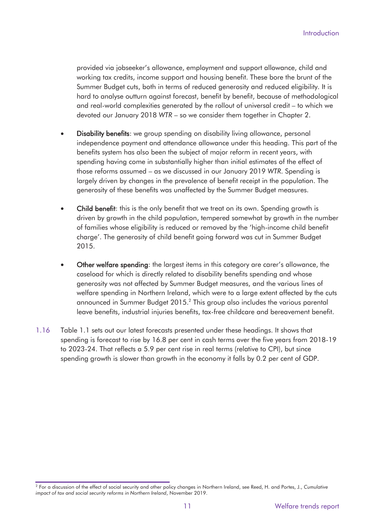provided via jobseeker's allowance, employment and support allowance, child and working tax credits, income support and housing benefit. These bore the brunt of the Summer Budget cuts, both in terms of reduced generosity and reduced eligibility. It is hard to analyse outturn against forecast, benefit by benefit, because of methodological and real-world complexities generated by the rollout of universal credit – to which we devoted our January 2018 *WTR* – so we consider them together in Chapter 2.

- **Disability benefits:** we group spending on disability living allowance, personal independence payment and attendance allowance under this heading. This part of the benefits system has also been the subject of major reform in recent years, with spending having come in substantially higher than initial estimates of the effect of those reforms assumed – as we discussed in our January 2019 *WTR*. Spending is largely driven by changes in the prevalence of benefit receipt in the population. The generosity of these benefits was unaffected by the Summer Budget measures.
- Child benefit: this is the only benefit that we treat on its own. Spending growth is driven by growth in the child population, tempered somewhat by growth in the number of families whose eligibility is reduced or removed by the 'high-income child benefit charge'. The generosity of child benefit going forward was cut in Summer Budget 2015.
- Other welfare spending: the largest items in this category are carer's allowance, the caseload for which is directly related to disability benefits spending and whose generosity was not affected by Summer Budget measures, and the various lines of welfare spending in Northern Ireland, which were to a large extent affected by the cuts announced in Summer Budget 2015. 2 This group also includes the various parental leave benefits, industrial injuries benefits, tax-free childcare and bereavement benefit.
- 1.16 Table 1.1 sets out our latest forecasts presented under these headings. It shows that spending is forecast to rise by 16.8 per cent in cash terms over the five years from 2018-19 to 2023-24. That reflects a 5.9 per cent rise in real terms (relative to CPI), but since spending growth is slower than growth in the economy it falls by 0.2 per cent of GDP.

 2 For a discussion of the effect of social security and other policy changes in Northern Ireland, see Reed, H. and Portes, J., *Cumulative impact of tax and social security reforms in Northern Ireland*, November 2019.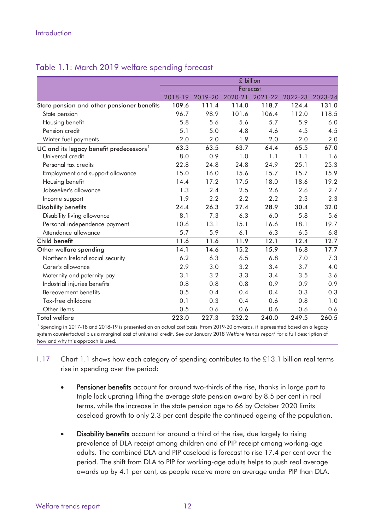|                                                                                                                               |         |         | £ billion |         |         |         |
|-------------------------------------------------------------------------------------------------------------------------------|---------|---------|-----------|---------|---------|---------|
|                                                                                                                               |         |         | Forecast  |         |         |         |
|                                                                                                                               | 2018-19 | 2019-20 | 2020-21   | 2021-22 | 2022-23 | 2023-24 |
| State pension and other pensioner benefits                                                                                    | 109.6   | 111.4   | 114.0     | 118.7   | 124.4   | 131.0   |
| State pension                                                                                                                 | 96.7    | 98.9    | 101.6     | 106.4   | 112.0   | 118.5   |
| Housing benefit                                                                                                               | 5.8     | 5.6     | 5.6       | 5.7     | 5.9     | 6.0     |
| Pension credit                                                                                                                | 5.1     | 5.0     | 4.8       | 4.6     | 4.5     | 4.5     |
| Winter fuel payments                                                                                                          | 2.0     | 2.0     | 1.9       | 2.0     | 2.0     | 2.0     |
| UC and its legacy benefit predecessors <sup>1</sup>                                                                           | 63.3    | 63.5    | 63.7      | 64.4    | 65.5    | 67.0    |
| Universal credit                                                                                                              | 8.0     | 0.9     | 1.0       | 1.1     | 1.1     | 1.6     |
| Personal tax credits                                                                                                          | 22.8    | 24.8    | 24.8      | 24.9    | 25.1    | 25.3    |
| Employment and support allowance                                                                                              | 15.0    | 16.0    | 15.6      | 15.7    | 15.7    | 15.9    |
| Housing benefit                                                                                                               | 14.4    | 17.2    | 17.5      | 18.0    | 18.6    | 19.2    |
| Jobseeker's allowance                                                                                                         | 1.3     | 2.4     | 2.5       | 2.6     | 2.6     | 2.7     |
| Income support                                                                                                                | 1.9     | 2.2     | 2.2       | 2.2     | 2.3     | 2.3     |
| <b>Disability benefits</b>                                                                                                    | 24.4    | 26.3    | 27.4      | 28.9    | 30.4    | 32.0    |
| Disability living allowance                                                                                                   | 8.1     | 7.3     | 6.3       | 6.0     | 5.8     | 5.6     |
| Personal independence payment                                                                                                 | 10.6    | 13.1    | 15.1      | 16.6    | 18.1    | 19.7    |
| Attendance allowance                                                                                                          | 5.7     | 5.9     | 6.1       | 6.3     | 6.5     | 6.8     |
| Child benefit                                                                                                                 | 11.6    | 11.6    | 11.9      | 12.1    | 12.4    | 12.7    |
| Other welfare spending                                                                                                        | 14.1    | 14.6    | 15.2      | 15.9    | 16.8    | 17.7    |
| Northern Ireland social security                                                                                              | 6.2     | 6.3     | 6.5       | 6.8     | 7.0     | 7.3     |
| Carer's allowance                                                                                                             | 2.9     | 3.0     | 3.2       | 3.4     | 3.7     | 4.0     |
| Maternity and paternity pay                                                                                                   | 3.1     | 3.2     | 3.3       | 3.4     | 3.5     | 3.6     |
| Industrial injuries benefits                                                                                                  | 0.8     | 0.8     | 0.8       | 0.9     | 0.9     | 0.9     |
| Bereavement benefits                                                                                                          | 0.5     | 0.4     | 0.4       | 0.4     | 0.3     | 0.3     |
| Tax-free childcare                                                                                                            | 0.1     | 0.3     | 0.4       | 0.6     | 0.8     | 1.0     |
| Other items                                                                                                                   | 0.5     | 0.6     | 0.6       | 0.6     | 0.6     | 0.6     |
| <b>Total welfare</b>                                                                                                          | 223.0   | 227.3   | 232.2     | 240.0   | 249.5   | 260.5   |
| Spending in 2017-18 and 2018-19 is presented on an actual cost basis. From 2019-20 onwards, it is presented based on a legacy |         |         |           |         |         |         |

#### <span id="page-15-0"></span>Table 1.1: March 2019 welfare spending forecast

system counterfactual plus a marginal cost of universal credit. See our January 2018 *Welfare trends report* for a full description of how and why this approach is used.

1.17 Chart 1.1 shows how each category of spending contributes to the £13.1 billion real terms rise in spending over the period:

- Pensioner benefits account for around two-thirds of the rise, thanks in large part to triple lock uprating lifting the average state pension award by 8.5 per cent in real terms, while the increase in the state pension age to 66 by October 2020 limits caseload growth to only 2.3 per cent despite the continued ageing of the population.
- Disability benefits account for around a third of the rise, due largely to rising prevalence of DLA receipt among children and of PIP receipt among working-age adults. The combined DLA and PIP caseload is forecast to rise 17.4 per cent over the period. The shift from DLA to PIP for working-age adults helps to push real average awards up by 4.1 per cent, as people receive more on average under PIP than DLA.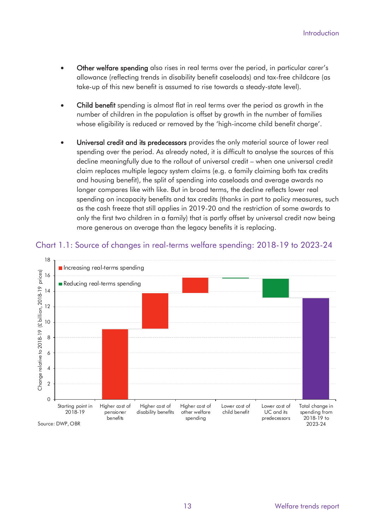- <span id="page-16-0"></span>• Other welfare spending also rises in real terms over the period, in particular carer's allowance (reflecting trends in disability benefit caseloads) and tax-free childcare (as take-up of this new benefit is assumed to rise towards a steady-state level).
- Child benefit spending is almost flat in real terms over the period as growth in the number of children in the population is offset by growth in the number of families whose eligibility is reduced or removed by the 'high-income child benefit charge'.
- Universal credit and its predecessors provides the only material source of lower real spending over the period. As already noted, it is difficult to analyse the sources of this decline meaningfully due to the rollout of universal credit – when one universal credit claim replaces multiple legacy system claims (e.g. a family claiming both tax credits and housing benefit), the split of spending into caseloads and average awards no longer compares like with like. But in broad terms, the decline reflects lower real spending on incapacity benefits and tax credits (thanks in part to policy measures, such as the cash freeze that still applies in 2019-20 and the restriction of some awards to only the first two children in a family) that is partly offset by universal credit now being more generous on average than the legacy benefits it is replacing.



Chart 1.1: Source of changes in real-terms welfare spending: 2018-19 to 2023-24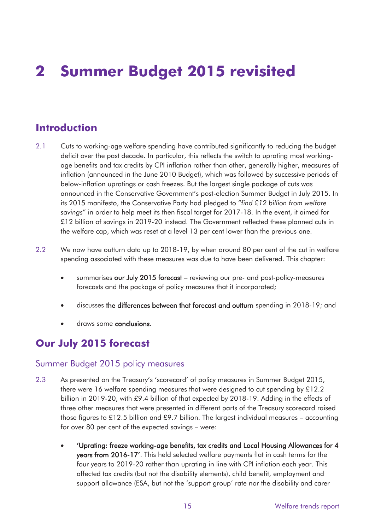# **2 Summer Budget 2015 revisited**

## **Introduction**

- its 2015 manifesto, the Conservative Party had pledged to "*find £12 billion from welfare*  2.1 Cuts to working-age welfare spending have contributed significantly to reducing the budget deficit over the past decade. In particular, this reflects the switch to uprating most workingage benefits and tax credits by CPI inflation rather than other, generally higher, measures of inflation (announced in the June 2010 Budget), which was followed by successive periods of below-inflation upratings or cash freezes. But the largest single package of cuts was announced in the Conservative Government's post-election Summer Budget in July 2015. In *savings*" in order to help meet its then fiscal target for 2017-18. In the event, it aimed for £12 billion of savings in 2019-20 instead. The Government reflected these planned cuts in the welfare cap, which was reset at a level 13 per cent lower than the previous one.
- 2.2 We now have outturn data up to 2018-19, by when around 80 per cent of the cut in welfare spending associated with these measures was due to have been delivered. This chapter:
	- summarises our July 2015 forecast reviewing our pre- and post-policy-measures forecasts and the package of policy measures that it incorporated;
	- discusses the differences between that forecast and outturn spending in 2018-19; and
	- draws some conclusions.

## **Our July 2015 forecast**

#### Summer Budget 2015 policy measures

- 2.3 As presented on the Treasury's 'scorecard' of policy measures in Summer Budget 2015, there were 16 welfare spending measures that were designed to cut spending by £12.2 billion in 2019-20, with £9.4 billion of that expected by 2018-19. Adding in the effects of three other measures that were presented in different parts of the Treasury scorecard raised those figures to £12.5 billion and £9.7 billion. The largest individual measures – accounting for over 80 per cent of the expected savings – were:
	- 'Uprating: freeze working-age benefits, tax credits and Local Housing Allowances for 4 years from 2016-17'. This held selected welfare payments flat in cash terms for the four years to 2019-20 rather than uprating in line with CPI inflation each year. This affected tax credits (but not the disability elements), child benefit, employment and support allowance (ESA, but not the 'support group' rate nor the disability and carer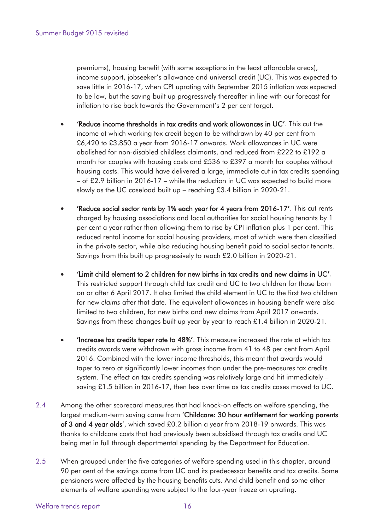income support, jobseeker's allowance and universal credit (UC). This was expected to premiums), housing benefit (with some exceptions in the least affordable areas), save little in 2016-17, when CPI uprating with September 2015 inflation was expected to be low, but the saving built up progressively thereafter in line with our forecast for inflation to rise back towards the Government's 2 per cent target.

- 'Reduce income thresholds in tax credits and work allowances in UC'. This cut the income at which working tax credit began to be withdrawn by 40 per cent from £6,420 to £3,850 a year from 2016-17 onwards. Work allowances in UC were abolished for non-disabled childless claimants, and reduced from £222 to £192 a month for couples with housing costs and £536 to £397 a month for couples without housing costs. This would have delivered a large, immediate cut in tax credits spending – of £2.9 billion in 2016-17 – while the reduction in UC was expected to build more slowly as the UC caseload built up – reaching £3.4 billion in 2020-21.
- 'Reduce social sector rents by 1% each year for 4 years from 2016-17'. This cut rents charged by housing associations and local authorities for social housing tenants by 1 per cent a year rather than allowing them to rise by CPI inflation plus 1 per cent. This reduced rental income for social housing providers, most of which were then classified in the private sector, while also reducing housing benefit paid to social sector tenants. Savings from this built up progressively to reach £2.0 billion in 2020-21.
- 'Limit child element to 2 children for new births in tax credits and new claims in UC'. This restricted support through child tax credit and UC to two children for those born on or after 6 April 2017. It also limited the child element in UC to the first two children for new *claims* after that date. The equivalent allowances in housing benefit were also limited to two children, for new births and new claims from April 2017 onwards. Savings from these changes built up year by year to reach £1.4 billion in 2020-21.
- 'Increase tax credits taper rate to 48%'. This measure increased the rate at which tax credits awards were withdrawn with gross income from 41 to 48 per cent from April 2016. Combined with the lower income thresholds, this meant that awards would taper to zero at significantly lower incomes than under the pre-measures tax credits system. The effect on tax credits spending was relatively large and hit immediately – saving £1.5 billion in 2016-17, then less over time as tax credits cases moved to UC.
- 2.4 Among the other scorecard measures that had knock-on effects on welfare spending, the largest medium-term saving came from 'Childcare: 30 hour entitlement for working parents of 3 and 4 year olds', which saved £0.2 billion a year from 2018-19 onwards. This was thanks to childcare costs that had previously been subsidised through tax credits and UC being met in full through departmental spending by the Department for Education.
- 2.5 When grouped under the five categories of welfare spending used in this chapter, around 90 per cent of the savings came from UC and its predecessor benefits and tax credits. Some pensioners were affected by the housing benefits cuts. And child benefit and some other elements of welfare spending were subject to the four-year freeze on uprating.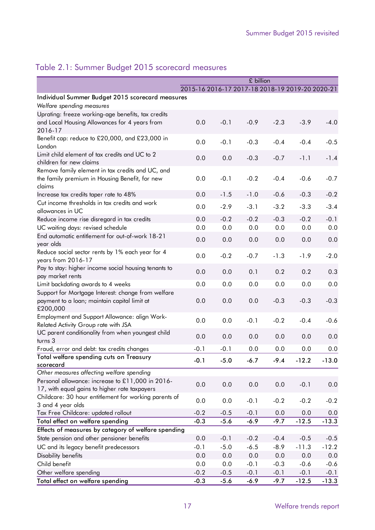|                                                                                                        |                                                 |        | £ billion |        |         |         |
|--------------------------------------------------------------------------------------------------------|-------------------------------------------------|--------|-----------|--------|---------|---------|
|                                                                                                        | 2015-16 2016-17 2017-18 2018-19 2019-20 2020-21 |        |           |        |         |         |
| Individual Summer Budget 2015 scorecard measures                                                       |                                                 |        |           |        |         |         |
| Welfare spending measures                                                                              |                                                 |        |           |        |         |         |
| Uprating: freeze working-age benefits, tax credits                                                     |                                                 |        |           |        |         |         |
| and Local Housing Allowances for 4 years from                                                          | 0.0                                             | $-0.1$ | $-0.9$    | $-2.3$ | $-3.9$  | $-4.0$  |
| 2016-17                                                                                                |                                                 |        |           |        |         |         |
| Benefit cap: reduce to £20,000, and £23,000 in                                                         | 0.0                                             | $-0.1$ | $-0.3$    | $-0.4$ | $-0.4$  | $-0.5$  |
| London                                                                                                 |                                                 |        |           |        |         |         |
| Limit child element of tax credits and UC to 2                                                         | 0.0                                             | 0.0    | $-0.3$    | $-0.7$ | $-1.1$  | $-1.4$  |
| children for new claims                                                                                |                                                 |        |           |        |         |         |
| Remove family element in tax credits and UC, and                                                       |                                                 |        | $-0.2$    | $-0.4$ | $-0.6$  |         |
| the family premium in Housing Benefit, for new<br>claims                                               | 0.0                                             | $-0.1$ |           |        |         | $-0.7$  |
| Increase tax credits taper rate to 48%                                                                 | 0.0                                             | $-1.5$ | $-1.0$    | $-0.6$ | $-0.3$  | $-0.2$  |
| Cut income thresholds in tax credits and work                                                          |                                                 |        |           |        |         |         |
| allowances in UC                                                                                       | 0.0                                             | $-2.9$ | $-3.1$    | $-3.2$ | $-3.3$  | $-3.4$  |
| Reduce income rise disregard in tax credits                                                            | 0.0                                             | $-0.2$ | $-0.2$    | $-0.3$ | $-0.2$  | $-0.1$  |
| UC waiting days: revised schedule                                                                      | 0.0                                             | 0.0    | 0.0       | 0.0    | 0.0     | 0.0     |
| End automatic entitlement for out-of-work 18-21                                                        | 0.0                                             | 0.0    | 0.0       | 0.0    | 0.0     | 0.0     |
| year olds                                                                                              |                                                 |        |           |        |         |         |
| Reduce social sector rents by 1% each year for 4                                                       | 0.0                                             | $-0.2$ | $-0.7$    | $-1.3$ | $-1.9$  | $-2.0$  |
| years from 2016-17                                                                                     |                                                 |        |           |        |         |         |
| Pay to stay: higher income social housing tenants to                                                   | 0.0                                             | 0.0    | 0.1       | 0.2    | 0.2     | 0.3     |
| pay market rents                                                                                       |                                                 |        |           |        |         |         |
| Limit backdating awards to 4 weeks                                                                     | 0.0                                             | 0.0    | 0.0       | 0.0    | 0.0     | 0.0     |
| Support for Mortgage Interest: change from welfare<br>payment to a loan; maintain capital limit at     | 0.0                                             | 0.0    | 0.0       | $-0.3$ | $-0.3$  | $-0.3$  |
| £200,000                                                                                               |                                                 |        |           |        |         |         |
| Employment and Support Allowance: align Work-                                                          |                                                 |        |           |        |         |         |
| Related Activity Group rate with JSA                                                                   | 0.0                                             | 0.0    | $-0.1$    | $-0.2$ | $-0.4$  | $-0.6$  |
| UC parent conditionality from when youngest child                                                      |                                                 |        |           |        |         |         |
| turns 3                                                                                                | 0.0                                             | 0.0    | 0.0       | 0.0    | 0.0     | 0.0     |
| Fraud, error and debt: tax credits changes                                                             | $-0.1$                                          | $-0.1$ | 0.0       | 0.0    | 0.0     | 0.0     |
| Total welfare spending cuts on Treasury                                                                | $-0.1$                                          | $-5.0$ | $-6.7$    | $-9.4$ | $-12.2$ | $-13.0$ |
| scorecard                                                                                              |                                                 |        |           |        |         |         |
| Other measures affecting welfare spending                                                              |                                                 |        |           |        |         |         |
| Personal allowance: increase to £11,000 in 2016-                                                       | 0.0                                             | 0.0    | 0.0       | 0.0    | $-0.1$  | 0.0     |
| 17, with equal gains to higher rate taxpayers<br>Childcare: 30 hour entitlement for working parents of |                                                 |        |           |        |         |         |
| 3 and 4 year olds                                                                                      | 0.0                                             | 0.0    | $-0.1$    | $-0.2$ | $-0.2$  | $-0.2$  |
| Tax Free Childcare: updated rollout                                                                    | $-0.2$                                          | $-0.5$ | $-0.1$    | 0.0    | 0.0     | 0.0     |
| Total effect on welfare spending                                                                       | $-0.3$                                          | $-5.6$ | $-6.9$    | $-9.7$ | $-12.5$ | $-13.3$ |
| Effects of measures by category of welfare spending                                                    |                                                 |        |           |        |         |         |
| State pension and other pensioner benefits                                                             | 0.0                                             | $-0.1$ | $-0.2$    | $-0.4$ | $-0.5$  | $-0.5$  |
| UC and its legacy benefit predecessors                                                                 | $-0.1$                                          | $-5.0$ | $-6.5$    | $-8.9$ | $-11.3$ | $-12.2$ |
| Disability benefits                                                                                    | 0.0                                             | 0.0    | 0.0       | 0.0    | 0.0     | 0.0     |
| Child benefit                                                                                          | 0.0                                             | 0.0    | $-0.1$    | $-0.3$ | $-0.6$  | $-0.6$  |
| Other welfare spending                                                                                 | $-0.2$                                          | $-0.5$ | $-0.1$    | $-0.1$ | $-0.1$  | $-0.1$  |
| Total effect on welfare spending                                                                       | $-0.3$                                          | $-5.6$ | $-6.9$    | $-9.7$ | $-12.5$ | $-13.3$ |
|                                                                                                        |                                                 |        |           |        |         |         |

## <span id="page-20-0"></span>Table 2.1: Summer Budget 2015 scorecard measures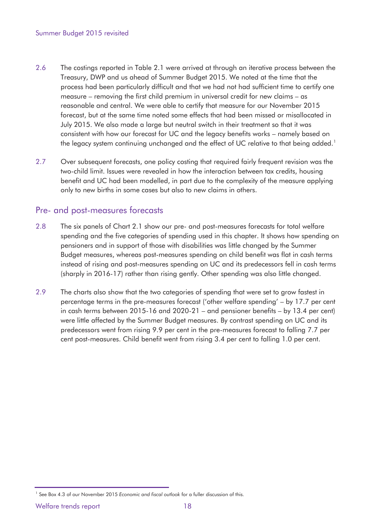- 2.6 The costings reported in Table 2.1 were arrived at through an iterative process between the Treasury, DWP and us ahead of Summer Budget 2015. We noted at the time that the process had been particularly difficult and that we had not had sufficient time to certify one measure – removing the first child premium in universal credit for new claims – as reasonable and central. We were able to certify that measure for our November 2015 forecast, but at the same time noted some effects that had been missed or misallocated in July 2015. We also made a large but neutral switch in their treatment so that it was consistent with how our forecast for UC and the legacy benefits works – namely based on the legacy system continuing unchanged and the effect of UC relative to that being added.<sup>1</sup>
- 2.7 Over subsequent forecasts, one policy costing that required fairly frequent revision was the two-child limit. Issues were revealed in how the interaction between tax credits, housing benefit and UC had been modelled, in part due to the complexity of the measure applying only to new births in some cases but also to new claims in others.

#### Pre- and post-measures forecasts

- pensioners and in support of those with disabilities was little changed by the Summer 2.8 The six panels of Chart 2.1 show our pre- and post-measures forecasts for total welfare spending and the five categories of spending used in this chapter. It shows how spending on Budget measures, whereas post-measures spending on child benefit was flat in cash terms instead of rising and post-measures spending on UC and its predecessors fell in cash terms (sharply in 2016-17) rather than rising gently. Other spending was also little changed.
- 2.9 The charts also show that the two categories of spending that were set to grow fastest in percentage terms in the pre-measures forecast ('other welfare spending' – by 17.7 per cent in cash terms between 2015-16 and 2020-21 – and pensioner benefits – by 13.4 per cent) were little affected by the Summer Budget measures. By contrast spending on UC and its predecessors went from rising 9.9 per cent in the pre-measures forecast to falling 7.7 per cent post-measures. Child benefit went from rising 3.4 per cent to falling 1.0 per cent.

<sup>&</sup>lt;sup>1</sup> See Box 4.3 of our November 2015 *Economic and fiscal outlook* for a fuller discussion of this.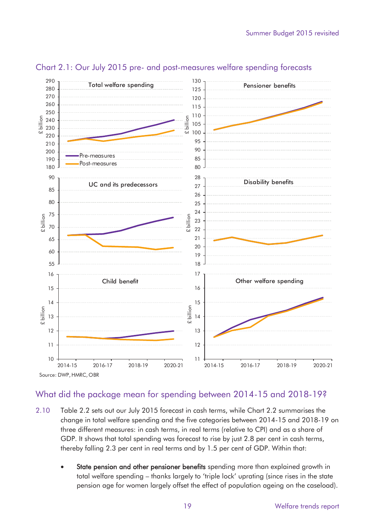

#### <span id="page-22-0"></span>Chart 2.1: Our July 2015 pre- and post-measures welfare spending forecasts

#### What did the package mean for spending between 2014-15 and 2018-19?

- three different measures: in cash terms, in real terms (relative to CPI) and as a share of 2.10 Table 2.2 sets out our July 2015 forecast in cash terms, while Chart 2.2 summarises the change in total welfare spending and the five categories between 2014-15 and 2018-19 on GDP. It shows that total spending was forecast to rise by just 2.8 per cent in cash terms, thereby falling 2.3 per cent in real terms and by 1.5 per cent of GDP. Within that:
	- State pension and other pensioner benefits spending more than explained growth in total welfare spending – thanks largely to 'triple lock' uprating (since rises in the state pension age for women largely offset the effect of population ageing on the caseload).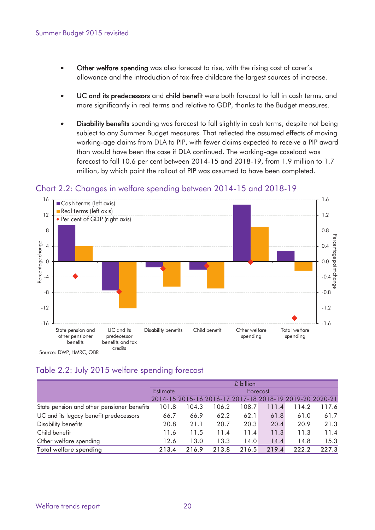- <span id="page-23-0"></span>• Other welfare spending was also forecast to rise, with the rising cost of carer's allowance and the introduction of tax-free childcare the largest sources of increase.
- UC and its predecessors and child benefit were both forecast to fall in cash terms, and more significantly in real terms and relative to GDP, thanks to the Budget measures.
- Disability benefits spending was forecast to fall slightly in cash terms, despite not being subject to any Summer Budget measures. That reflected the assumed effects of moving working-age claims from DLA to PIP, with fewer claims expected to receive a PIP award than would have been the case if DLA continued. The working-age caseload was forecast to fall 10.6 per cent between 2014-15 and 2018-19, from 1.9 million to 1.7 million, by which point the rollout of PIP was assumed to have been completed.



#### Chart 2.2: Changes in welfare spending between 2014-15 and 2018-19

#### Table 2.2: July 2015 welfare spending forecast

|                                            | £ billion            |       |                                                         |       |       |       |       |  |
|--------------------------------------------|----------------------|-------|---------------------------------------------------------|-------|-------|-------|-------|--|
|                                            | Estimate<br>Forecast |       |                                                         |       |       |       |       |  |
|                                            |                      |       | 2014-15 2015-16 2016-17 2017-18 2018-19 2019-20 2020-21 |       |       |       |       |  |
| State pension and other pensioner benefits | 101.8                | 104.3 | 106.2                                                   | 108.7 | 111.4 | 114.2 | 117.6 |  |
| UC and its legacy benefit predecessors     | 66.7                 | 66.9  | 62.2                                                    | 62.1  | 61.8  | 61.0  | 61.7  |  |
| Disability benefits                        | 20.8                 | 21.1  | 20.7                                                    | 20.3  | 20.4  | 20.9  | 21.3  |  |
| Child benefit                              | 11.6                 | 11.5  | 11.4                                                    | 11.4  | 11.3  | 11.3  | 11.4  |  |
| Other welfare spending                     | 12.6                 | 13.0  | 13.3                                                    | 14.0  | 14.4  | 14.8  | 15.3  |  |
| Total welfare spending                     | 213.4                | 216.9 | 213.8                                                   | 216.5 | 219.4 | 222.2 | 227.3 |  |
|                                            |                      |       |                                                         |       |       |       |       |  |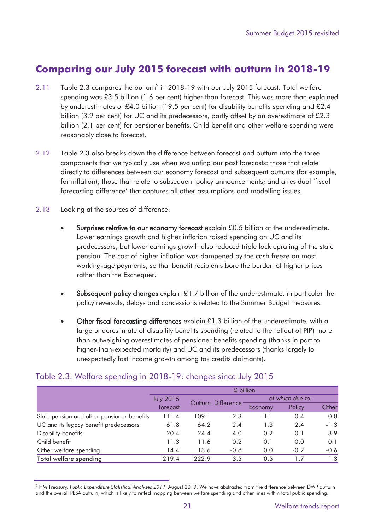## <span id="page-24-0"></span>**Comparing our July 2015 forecast with outturn in 2018-19**

- 2.11 Table 2.3 compares the outturn<sup>2</sup> in 2018-19 with our July 2015 forecast. Total welfare spending was £3.5 billion (1.6 per cent) higher than forecast. This was more than explained by underestimates of £4.0 billion (19.5 per cent) for disability benefits spending and £2.4 billion (3.9 per cent) for UC and its predecessors, partly offset by an overestimate of £2.3 billion (2.1 per cent) for pensioner benefits. Child benefit and other welfare spending were reasonably close to forecast.
- 2.12 Table 2.3 also breaks down the difference between forecast and outturn into the three components that we typically use when evaluating our past forecasts: those that relate directly to differences between our economy forecast and subsequent outturns (for example, for inflation); those that relate to subsequent policy announcements; and a residual 'fiscal forecasting difference' that captures all other assumptions and modelling issues.
- 2.13 Looking at the sources of difference:
	- Surprises relative to our economy forecast explain £0.5 billion of the underestimate. Lower earnings growth and higher inflation raised spending on UC and its predecessors, but lower earnings growth also reduced triple lock uprating of the state pension. The cost of higher inflation was dampened by the cash freeze on most working-age payments, so that benefit recipients bore the burden of higher prices rather than the Exchequer.
	- **Subsequent policy changes** explain £1.7 billion of the underestimate, in particular the policy reversals, delays and concessions related to the Summer Budget measures.
	- Other fiscal forecasting differences explain £1.3 billion of the underestimate, with a large underestimate of disability benefits spending (related to the rollout of PIP) more than outweighing overestimates of pensioner benefits spending (thanks in part to higher-than-expected mortality) and UC and its predecessors (thanks largely to unexpectedly fast income growth among tax credits claimants).

|                                            |                                        | £ billion |        |                  |        |        |  |  |  |  |  |
|--------------------------------------------|----------------------------------------|-----------|--------|------------------|--------|--------|--|--|--|--|--|
|                                            | <b>July 2015</b><br>Outturn Difference |           |        | of which due to: |        |        |  |  |  |  |  |
|                                            | forecast                               |           |        | Economy          | Policy | Other  |  |  |  |  |  |
| State pension and other pensioner benefits | 111.4                                  | 109.1     | $-2.3$ | $-1.1$           | $-0.4$ | $-0.8$ |  |  |  |  |  |
| UC and its legacy benefit predecessors     | 61.8                                   | 64.2      | 2.4    | 1.3              | 2.4    | $-1.3$ |  |  |  |  |  |
| Disability benefits                        | 20.4                                   | 24.4      | 4.0    | 0.2              | $-0.1$ | 3.9    |  |  |  |  |  |
| Child benefit                              | 11.3                                   | 11.6      | 0.2    | 0.1              | 0.0    | 0.1    |  |  |  |  |  |
| Other welfare spending                     | 14.4                                   | 13.6      | $-0.8$ | 0.0              | $-0.2$ | $-0.6$ |  |  |  |  |  |
| Total welfare spending                     | 219.4                                  | 222.9     | 3.5    | 0.5              | 17     | 1.3    |  |  |  |  |  |
|                                            |                                        |           |        |                  |        |        |  |  |  |  |  |

#### Table 2.3: Welfare spending in 2018-19: changes since July 2015

 2 HM Treasury*, Public Expenditure Statistical Analyses 2019*, August 2019. We have abstracted from the difference between DWP outturn and the overall PESA outturn, which is likely to reflect mapping between welfare spending and other lines within total public spending.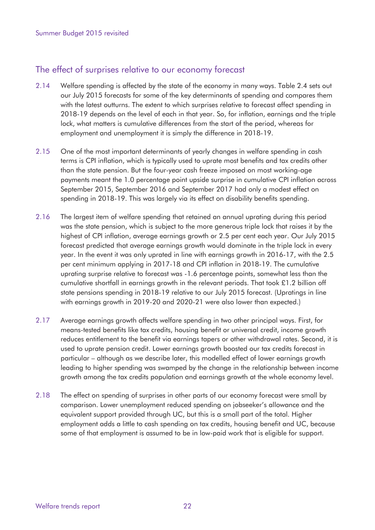#### The effect of surprises relative to our economy forecast

- 2.14 Welfare spending is affected by the state of the economy in many ways. Table 2.4 sets out our July 2015 forecasts for some of the key determinants of spending and compares them with the latest outturns. The extent to which surprises relative to forecast affect spending in 2018-19 depends on the level of each in that year. So, for inflation, earnings and the triple lock, what matters is cumulative differences from the start of the period, whereas for employment and unemployment it is simply the difference in 2018-19.
- 2.15 One of the most important determinants of yearly changes in welfare spending in cash terms is CPI inflation, which is typically used to uprate most benefits and tax credits other than the state pension. But the four-year cash freeze imposed on most working-age payments meant the 1.0 percentage point upside surprise in cumulative CPI inflation across September 2015, September 2016 and September 2017 had only a modest effect on spending in 2018-19. This was largely via its effect on disability benefits spending.
- 2.16 The largest item of welfare spending that retained an annual uprating during this period was the state pension, which is subject to the more generous triple lock that raises it by the highest of CPI inflation, average earnings growth or 2.5 per cent each year. Our July 2015 forecast predicted that average earnings growth would dominate in the triple lock in every year. In the event it was only uprated in line with earnings growth in 2016-17, with the 2.5 per cent minimum applying in 2017-18 and CPI inflation in 2018-19. The cumulative uprating surprise relative to forecast was -1.6 percentage points, somewhat less than the cumulative shortfall in earnings growth in the relevant periods. That took £1.2 billion off state pensions spending in 2018-19 relative to our July 2015 forecast. (Upratings in line with earnings growth in 2019-20 and 2020-21 were also lower than expected.)
- 2.17 Average earnings growth affects welfare spending in two other principal ways. First, for means-tested benefits like tax credits, housing benefit or universal credit, income growth reduces entitlement to the benefit via earnings tapers or other withdrawal rates. Second, it is used to uprate pension credit. Lower earnings growth boosted our tax credits forecast in particular – although as we describe later, this modelled effect of lower earnings growth leading to higher spending was swamped by the change in the relationship between income growth among the tax credits population and earnings growth at the whole economy level.
- 2.18 The effect on spending of surprises in other parts of our economy forecast were small by comparison. Lower unemployment reduced spending on jobseeker's allowance and the equivalent support provided through UC, but this is a small part of the total. Higher employment adds a little to cash spending on tax credits, housing benefit and UC, because some of that employment is assumed to be in low-paid work that is eligible for support.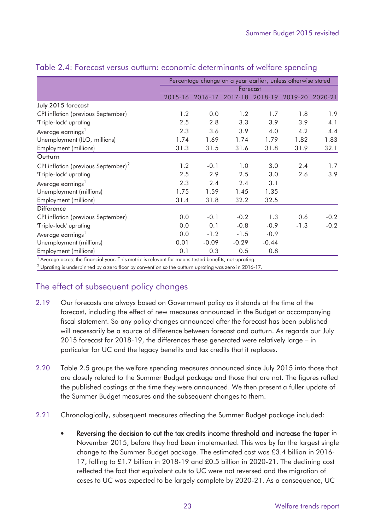|                                                 |         |          | Percentage change on a year earlier, unless otherwise stated |         |         |         |  |  |
|-------------------------------------------------|---------|----------|--------------------------------------------------------------|---------|---------|---------|--|--|
|                                                 |         | Forecast |                                                              |         |         |         |  |  |
|                                                 | 2015-16 | 2016-17  | 2017-18                                                      | 2018-19 | 2019-20 | 2020-21 |  |  |
| July 2015 forecast                              |         |          |                                                              |         |         |         |  |  |
| CPI inflation (previous September)              | 1.2     | 0.0      | 1.2                                                          | 1.7     | 1.8     | 1.9     |  |  |
| 'Triple-lock' uprating                          | 2.5     | 2.8      | 3.3                                                          | 3.9     | 3.9     | 4.1     |  |  |
| Average earnings <sup>1</sup>                   | 2.3     | 3.6      | 3.9                                                          | 4.0     | 4.2     | 4.4     |  |  |
| Unemployment (ILO, millions)                    | 1.74    | 1.69     | 1.74                                                         | 1.79    | 1.82    | 1.83    |  |  |
| Employment (millions)                           | 31.3    | 31.5     | 31.6                                                         | 31.8    | 31.9    | 32.1    |  |  |
| Outturn                                         |         |          |                                                              |         |         |         |  |  |
| CPI inflation (previous September) <sup>2</sup> | 1.2     | $-0.1$   | 1.0                                                          | 3.0     | 2.4     | 1.7     |  |  |
| 'Triple-lock' uprating                          | 2.5     | 2.9      | 2.5                                                          | 3.0     | 2.6     | 3.9     |  |  |
| Average earnings <sup>1</sup>                   | 2.3     | 2.4      | 2.4                                                          | 3.1     |         |         |  |  |
| Unemployment (millions)                         | 1.75    | 1.59     | 1.45                                                         | 1.35    |         |         |  |  |
| Employment (millions)                           | 31.4    | 31.8     | 32.2                                                         | 32.5    |         |         |  |  |
| <b>Difference</b>                               |         |          |                                                              |         |         |         |  |  |
| CPI inflation (previous September)              | 0.0     | $-0.1$   | $-0.2$                                                       | 1.3     | 0.6     | $-0.2$  |  |  |
| 'Triple-lock' uprating                          | 0.0     | 0.1      | $-0.8$                                                       | $-0.9$  | $-1.3$  | $-0.2$  |  |  |
| Average earnings <sup>1</sup>                   | 0.0     | $-1.2$   | $-1.5$                                                       | $-0.9$  |         |         |  |  |
| Unemployment (millions)                         | 0.01    | $-0.09$  | $-0.29$                                                      | $-0.44$ |         |         |  |  |
| <b>Employment</b> (millions)                    | 0.1     | 0.3      | 0.5                                                          | 0.8     |         |         |  |  |

#### <span id="page-26-0"></span>Table 2.4: Forecast versus outturn: economic determinants of welfare spending

1 Average across the financial year. This metric is relevant for means-tested benefits, not uprating.

 $^2$  Uprating is underpinned by a zero floor by convention so the outturn uprating was zero in 2016-17.

### The effect of subsequent policy changes

- 2.19 Our forecasts are always based on Government policy as it stands at the time of the forecast, including the effect of new measures announced in the Budget or accompanying fiscal statement. So any policy changes announced after the forecast has been published will necessarily be a source of difference between forecast and outturn. As regards our July 2015 forecast for 2018-19, the differences these generated were relatively large – in particular for UC and the legacy benefits and tax credits that it replaces.
- 2.20 Table 2.5 groups the welfare spending measures announced since July 2015 into those that are closely related to the Summer Budget package and those that are not. The figures reflect the published costings at the time they were announced. We then present a fuller update of the Summer Budget measures and the subsequent changes to them.
- 2.21 Chronologically, subsequent measures affecting the Summer Budget package included:
	- Reversing the decision to cut the tax credits income threshold and increase the taper in November 2015, before they had been implemented. This was by far the largest single change to the Summer Budget package. The estimated cost was £3.4 billion in 2016- 17, falling to £1.7 billion in 2018-19 and £0.5 billion in 2020-21. The declining cost reflected the fact that equivalent cuts to UC were not reversed and the migration of cases to UC was expected to be largely complete by 2020-21. As a consequence, UC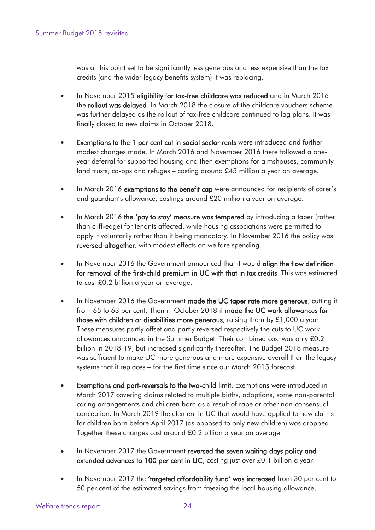was at this point set to be significantly less generous and less expensive than the tax credits (and the wider legacy benefits system) it was replacing.

- In November 2015 eligibility for tax-free childcare was reduced and in March 2016 the rollout was delayed. In March 2018 the closure of the childcare vouchers scheme was further delayed as the rollout of tax-free childcare continued to lag plans. It was finally closed to new claims in October 2018.
- Exemptions to the 1 per cent cut in social sector rents were introduced and further modest changes made. In March 2016 and November 2016 there followed a oneyear deferral for supported housing and then exemptions for almshouses, community land trusts, co-ops and refuges – costing around £45 million a year on average.
- In March 2016 exemptions to the benefit cap were announced for recipients of carer's and guardian's allowance, costings around £20 million a year on average.
- In March 2016 the 'pay to stay' measure was tempered by introducing a taper (rather than cliff-edge) for tenants affected, while housing associations were permitted to apply it voluntarily rather than it being mandatory. In November 2016 the policy was reversed altogether, with modest effects on welfare spending.
- In November 2016 the Government announced that it would align the flow definition for removal of the first-child premium in UC with that in tax credits. This was estimated to cost £0.2 billion a year on average.
- In November 2016 the Government made the UC taper rate more generous, cutting it from 65 to 63 per cent. Then in October 2018 it made the UC work allowances for those with children or disabilities more generous, raising them by £1,000 a year. These measures partly offset and partly reversed respectively the cuts to UC work allowances announced in the Summer Budget. Their combined cost was only £0.2 billion in 2018-19, but increased significantly thereafter. The Budget 2018 measure was sufficient to make UC more generous and more expensive overall than the legacy systems that it replaces – for the first time since our March 2015 forecast.
- Exemptions and part-reversals to the two-child limit. Exemptions were introduced in March 2017 covering claims related to multiple births, adoptions, some non-parental caring arrangements and children born as a result of rape or other non-consensual conception. In March 2019 the element in UC that would have applied to new claims for children born before April 2017 (as opposed to only new children) was dropped. Together these changes cost around £0.2 billion a year on average.
- In November 2017 the Government reversed the seven waiting days policy and extended advances to 100 per cent in UC, costing just over £0.1 billion a year.
- 50 per cent of the estimated savings from freezing the local housing allowance, • In November 2017 the 'targeted affordability fund' was increased from 30 per cent to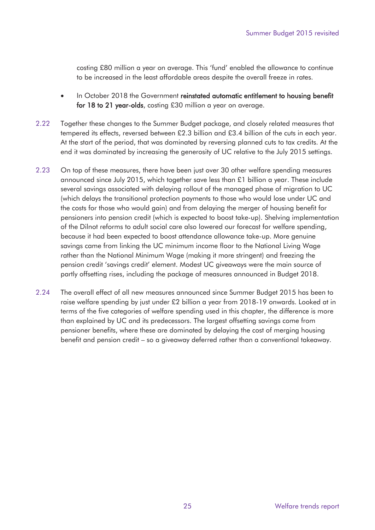costing £80 million a year on average. This 'fund' enabled the allowance to continue to be increased in the least affordable areas despite the overall freeze in rates.

- In October 2018 the Government reinstated automatic entitlement to housing benefit for 18 to 21 year-olds, costing £30 million a year on average.
- 2.22 Together these changes to the Summer Budget package, and closely related measures that tempered its effects, reversed between £2.3 billion and £3.4 billion of the cuts in each year. At the start of the period, that was dominated by reversing planned cuts to tax credits. At the end it was dominated by increasing the generosity of UC relative to the July 2015 settings.
- of the Dilnot reforms to adult social care also lowered our forecast for welfare spending, 2.23 On top of these measures, there have been just over 30 other welfare spending measures announced since July 2015, which together save less than £1 billion a year. These include several savings associated with delaying rollout of the managed phase of migration to UC (which delays the transitional protection payments to those who would lose under UC and the costs for those who would gain) and from delaying the merger of housing benefit for pensioners into pension credit (which is expected to boost take-up). Shelving implementation because it had been expected to boost attendance allowance take-up. More genuine savings came from linking the UC minimum income floor to the National Living Wage rather than the National Minimum Wage (making it more stringent) and freezing the pension credit 'savings credit' element. Modest UC giveaways were the main source of partly offsetting rises, including the package of measures announced in Budget 2018.
- 2.24 The overall effect of all new measures announced since Summer Budget 2015 has been to raise welfare spending by just under £2 billion a year from 2018-19 onwards. Looked at in terms of the five categories of welfare spending used in this chapter, the difference is more than explained by UC and its predecessors. The largest offsetting savings come from pensioner benefits, where these are dominated by delaying the cost of merging housing benefit and pension credit – so a giveaway deferred rather than a conventional takeaway.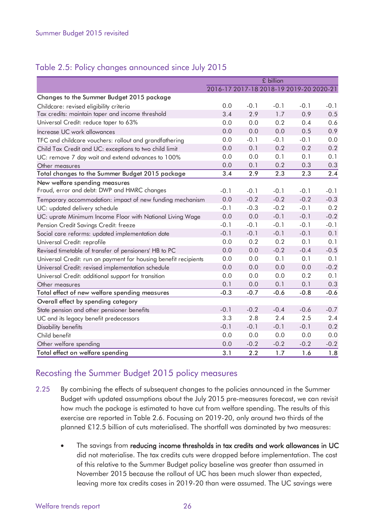#### Table 2.5: Policy changes announced since July 2015

|                                                                 |        |        | £ billion |                                         |        |
|-----------------------------------------------------------------|--------|--------|-----------|-----------------------------------------|--------|
|                                                                 |        |        |           | 2016-17 2017-18 2018-19 2019-20 2020-21 |        |
| Changes to the Summer Budget 2015 package                       |        |        |           |                                         |        |
| Childcare: revised eligibility criteria                         | 0.0    | $-0.1$ | $-0.1$    | $-0.1$                                  | $-0.1$ |
| Tax credits: maintain taper and income threshold                | 3.4    | 2.9    | 1.7       | 0.9                                     | 0.5    |
| Universal Credit: reduce taper to 63%                           | 0.0    | 0.0    | 0.2       | 0.4                                     | 0.6    |
| Increase UC work allowances                                     | 0.0    | 0.0    | 0.0       | 0.5                                     | 0.9    |
| TFC and childcare vouchers: rollout and grandfathering          | 0.0    | $-0.1$ | $-0.1$    | $-0.1$                                  | 0.0    |
| Child Tax Credit and UC: exceptions to two child limit          | 0.0    | 0.1    | 0.2       | 0.2                                     | 0.2    |
| UC: remove 7 day wait and extend advances to 100%               | 0.0    | 0.0    | 0.1       | 0.1                                     | 0.1    |
| Other measures                                                  | 0.0    | 0.1    | 0.2       | 0.3                                     | 0.3    |
| Total changes to the Summer Budget 2015 package                 | 3.4    | 2.9    | 2.3       | 2.3                                     | 2.4    |
| New welfare spending measures                                   |        |        |           |                                         |        |
| Fraud, error and debt: DWP and HMRC changes                     | $-0.1$ | $-0.1$ | $-0.1$    | $-0.1$                                  | $-0.1$ |
| Temporary accommodation: impact of new funding mechanism        | 0.0    | $-0.2$ | $-0.2$    | $-0.2$                                  | $-0.3$ |
| UC: updated delivery schedule                                   | $-0.1$ | $-0.3$ | $-0.2$    | $-0.1$                                  | 0.2    |
| UC: uprate Minimum Income Floor with National Living Wage       | 0.0    | 0.0    | $-0.1$    | $-0.1$                                  | $-0.2$ |
| Pension Credit Savings Credit: freeze                           | $-0.1$ | $-0.1$ | $-0.1$    | $-0.1$                                  | $-0.1$ |
| Social care reforms: updated implementation date                | $-0.1$ | $-0.1$ | $-0.1$    | $-0.1$                                  | 0.1    |
| Universal Credit: reprofile                                     | 0.0    | 0.2    | 0.2       | 0.1                                     | 0.1    |
| Revised timetable of transfer of pensioners' HB to PC           | 0.0    | 0.0    | $-0.2$    | $-0.4$                                  | $-0.5$ |
| Universal Credit: run on payment for housing benefit recipients | 0.0    | 0.0    | 0.1       | 0.1                                     | 0.1    |
| Universal Credit: revised implementation schedule               | 0.0    | 0.0    | 0.0       | 0.0                                     | $-0.2$ |
| Universal Credit: additional support for transition             | 0.0    | 0.0    | 0.0       | 0.2                                     | 0.1    |
| Other measures                                                  | 0.1    | 0.0    | 0.1       | 0.1                                     | 0.3    |
| Total effect of new welfare spending measures                   | $-0.3$ | $-0.7$ | $-0.6$    | $-0.8$                                  | $-0.6$ |
| Overall effect by spending category                             |        |        |           |                                         |        |
| State pension and other pensioner benefits                      | $-0.1$ | $-0.2$ | $-0.4$    | $-0.6$                                  | $-0.7$ |
| UC and its legacy benefit predecessors                          | 3.3    | 2.8    | 2.4       | 2.5                                     | 2.4    |
| Disability benefits                                             | $-0.1$ | $-0.1$ | $-0.1$    | $-0.1$                                  | 0.2    |
| Child benefit                                                   | 0.0    | 0.0    | 0.0       | 0.0                                     | 0.0    |
| Other welfare spending                                          | 0.0    | $-0.2$ | $-0.2$    | $-0.2$                                  | $-0.2$ |
| Total effect on welfare spending                                | 3.1    | 2.2    | 1.7       | 1.6                                     | 1.8    |

#### Recosting the Summer Budget 2015 policy measures

- 2.25 By combining the effects of subsequent changes to the policies announced in the Summer Budget with updated assumptions about the July 2015 pre-measures forecast, we can revisit how much the package is estimated to have cut from welfare spending. The results of this exercise are reported in Table 2.6. Focusing on 2019-20, only around two thirds of the planned £12.5 billion of cuts materialised. The shortfall was dominated by two measures:
	- The savings from reducing income thresholds in tax credits and work allowances in UC did not materialise. The tax credits cuts were dropped before implementation. The cost of this relative to the Summer Budget policy baseline was greater than assumed in November 2015 because the rollout of UC has been much slower than expected, leaving more tax credits cases in 2019-20 than were assumed. The UC savings were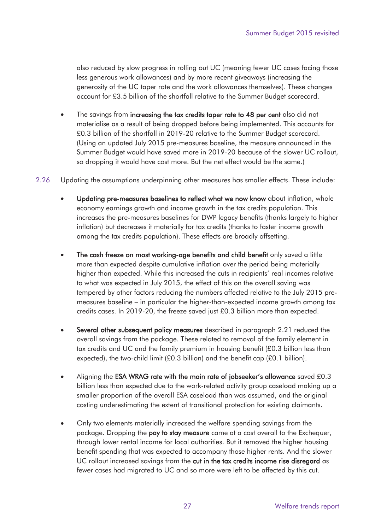also reduced by slow progress in rolling out UC (meaning fewer UC cases facing those less generous work allowances) and by more recent giveaways (increasing the generosity of the UC taper rate and the work allowances themselves). These changes account for £3.5 billion of the shortfall relative to the Summer Budget scorecard.

- The savings from increasing the tax credits taper rate to 48 per cent also did not materialise as a result of being dropped before being implemented. This accounts for £0.3 billion of the shortfall in 2019-20 relative to the Summer Budget scorecard. (Using an updated July 2015 pre-measures baseline, the measure announced in the Summer Budget would have saved more in 2019-20 because of the slower UC rollout, so dropping it would have cost more. But the net effect would be the same.)
- 2.26 Updating the assumptions underpinning other measures has smaller effects. These include:
	- Updating pre-measures baselines to reflect what we now know about inflation, whole economy earnings growth and income growth in the tax credits population. This increases the pre-measures baselines for DWP legacy benefits (thanks largely to higher inflation) but decreases it materially for tax credits (thanks to faster income growth among the tax credits population). These effects are broadly offsetting.
	- The cash freeze on most working-age benefits and child benefit only saved a little more than expected despite cumulative inflation over the period being materially higher than expected. While this increased the cuts in recipients' real incomes relative to what was expected in July 2015, the effect of this on the overall saving was tempered by other factors reducing the numbers affected relative to the July 2015 premeasures baseline – in particular the higher-than-expected income growth among tax credits cases. In 2019-20, the freeze saved just £0.3 billion more than expected.
	- expected), the two-child limit (£0.3 billion) and the benefit cap (£0.1 billion). • Several other subsequent policy measures described in paragraph 2.21 reduced the overall savings from the package. These related to removal of the family element in tax credits and UC and the family premium in housing benefit (£0.3 billion less than
	- Aligning the ESA WRAG rate with the main rate of jobseeker's allowance saved £0.3 billion less than expected due to the work-related activity group caseload making up a smaller proportion of the overall ESA caseload than was assumed, and the original costing underestimating the extent of transitional protection for existing claimants.
	- Only two elements materially increased the welfare spending savings from the package. Dropping the pay to stay measure came at a cost overall to the Exchequer, through lower rental income for local authorities. But it removed the higher housing benefit spending that was expected to accompany those higher rents. And the slower UC rollout increased savings from the cut in the tax credits income rise disregard as fewer cases had migrated to UC and so more were left to be affected by this cut.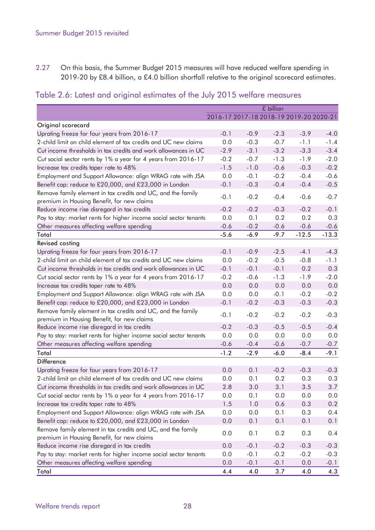<span id="page-31-0"></span>2.27 On this basis, the Summer Budget 2015 measures will have reduced welfare spending in 2019-20 by £8.4 billion, a £4.0 billion shortfall relative to the original scorecard estimates.

| Table 2.6: Latest and original estimates of the July 2015 welfare measures |  |  |  |  |  |  |  |  |  |  |  |
|----------------------------------------------------------------------------|--|--|--|--|--|--|--|--|--|--|--|
|----------------------------------------------------------------------------|--|--|--|--|--|--|--|--|--|--|--|

|                                                                   |        |        | £ billion                               |         |         |
|-------------------------------------------------------------------|--------|--------|-----------------------------------------|---------|---------|
|                                                                   |        |        | 2016-17 2017-18 2018-19 2019-20 2020-21 |         |         |
| Original scorecard                                                |        |        |                                         |         |         |
| Uprating freeze for four years from 2016-17                       | $-0.1$ | $-0.9$ | $-2.3$                                  | $-3.9$  | $-4.0$  |
| 2-child limit on child element of tax credits and UC new claims   | 0.0    | $-0.3$ | $-0.7$                                  | $-1.1$  | $-1.4$  |
| Cut income thresholds in tax credits and work allowances in UC    | $-2.9$ | $-3.1$ | $-3.2$                                  | $-3.3$  | $-3.4$  |
| Cut social sector rents by 1% a year for 4 years from 2016-17     | $-0.2$ | $-0.7$ | $-1.3$                                  | $-1.9$  | $-2.0$  |
| Increase tax credits taper rate to 48%                            | $-1.5$ | $-1.0$ | $-0.6$                                  | $-0.3$  | $-0.2$  |
| Employment and Support Allowance: align WRAG rate with JSA        | 0.0    | $-0.1$ | $-0.2$                                  | $-0.4$  | $-0.6$  |
| Benefit cap: reduce to £20,000, and £23,000 in London             | $-0.1$ | $-0.3$ | $-0.4$                                  | $-0.4$  | $-0.5$  |
| Remove family element in tax credits and UC, and the family       |        |        |                                         |         |         |
| premium in Housing Benefit, for new claims                        | $-0.1$ | $-0.2$ | $-0.4$                                  | $-0.6$  | $-0.7$  |
| Reduce income rise disregard in tax credits                       | $-0.2$ | $-0.2$ | $-0.3$                                  | $-0.2$  | $-0.1$  |
| Pay to stay: market rents for higher income social sector tenants | 0.0    | 0.1    | 0.2                                     | 0.2     | 0.3     |
| Other measures affecting welfare spending                         | $-0.6$ | $-0.2$ | $-0.6$                                  | $-0.6$  | $-0.6$  |
| Total                                                             | $-5.6$ | $-6.9$ | $-9.7$                                  | $-12.5$ | $-13.3$ |
| <b>Revised costing</b>                                            |        |        |                                         |         |         |
| Uprating freeze for four years from 2016-17                       | $-0.1$ | $-0.9$ | $-2.5$                                  | $-4.1$  | $-4.3$  |
| 2-child limit on child element of tax credits and UC new claims   | 0.0    | $-0.2$ | $-0.5$                                  | $-0.8$  | $-1.1$  |
| Cut income thresholds in tax credits and work allowances in UC    | $-0.1$ | $-0.1$ | $-0.1$                                  | 0.2     | 0.3     |
| Cut social sector rents by 1% a year for 4 years from 2016-17     | $-0.2$ | $-0.6$ | $-1.3$                                  | $-1.9$  | $-2.0$  |
| Increase tax credits taper rate to 48%                            | 0.0    | 0.0    | 0.0                                     | 0.0     | 0.0     |
| Employment and Support Allowance: align WRAG rate with JSA        | 0.0    | 0.0    | $-0.1$                                  | $-0.2$  | $-0.2$  |
| Benefit cap: reduce to £20,000, and £23,000 in London             | $-0.1$ | $-0.2$ | $-0.3$                                  | $-0.3$  | $-0.3$  |
| Remove family element in tax credits and UC, and the family       | $-0.1$ | $-0.2$ | $-0.2$                                  | $-0.2$  | $-0.3$  |
| premium in Housing Benefit, for new claims                        |        |        |                                         |         |         |
| Reduce income rise disregard in tax credits                       | $-0.2$ | $-0.3$ | $-0.5$                                  | $-0.5$  | $-0.4$  |
| Pay to stay: market rents for higher income social sector tenants | 0.0    | 0.0    | 0.0                                     | 0.0     | 0.0     |
| Other measures affecting welfare spending                         | $-0.6$ | $-0.4$ | $-0.6$                                  | $-0.7$  | $-0.7$  |
| Total                                                             | $-1.2$ | $-2.9$ | $-6.0$                                  | $-8.4$  | $-9.1$  |
| <b>Difference</b>                                                 |        |        |                                         |         |         |
| Uprating freeze for four years from 2016-17                       | 0.0    | 0.1    | $-0.2$                                  | $-0.3$  | $-0.3$  |
| 2-child limit on child element of tax credits and UC new claims   | 0.0    | 0.1    | 0.2                                     | 0.3     | 0.3     |
| Cut income thresholds in tax credits and work allowances in UC    | 2.8    | 3.0    | 3.1                                     | 3.5     | 3.7     |
| Cut social sector rents by 1% a year for 4 years from 2016-17     | 0.0    | 0.1    | 0.0                                     | 0.0     | 0.0     |
| Increase tax credits taper rate to 48%                            | 1.5    | 1.0    | 0.6                                     | 0.3     | 0.2     |
| Employment and Support Allowance: align WRAG rate with JSA        | 0.0    | 0.0    | 0.1                                     | 0.3     | 0.4     |
| Benefit cap: reduce to £20,000, and £23,000 in London             | 0.0    | 0.1    | 0.1                                     | 0.1     | 0.1     |
| Remove family element in tax credits and UC, and the family       | 0.0    |        |                                         |         |         |
| premium in Housing Benefit, for new claims                        |        | 0.1    | 0.2                                     | 0.3     | 0.4     |
| Reduce income rise disregard in tax credits                       | 0.0    | $-0.1$ | $-0.2$                                  | $-0.3$  | $-0.3$  |
| Pay to stay: market rents for higher income social sector tenants | 0.0    | $-0.1$ | $-0.2$                                  | $-0.2$  | $-0.3$  |
| Other measures affecting welfare spending                         | 0.0    | $-0.1$ | $-0.1$                                  | 0.0     | $-0.1$  |
| Total                                                             | 4.4    | 4.0    | 3.7                                     | 4.0     | 4.3     |
|                                                                   |        |        |                                         |         |         |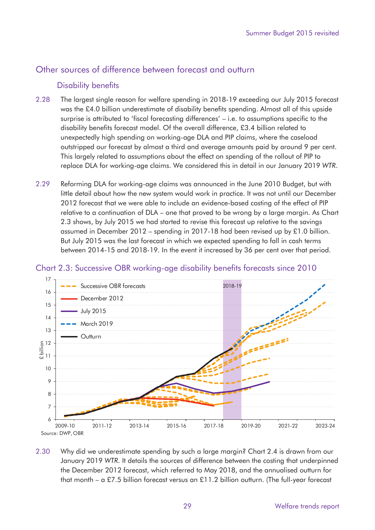#### <span id="page-32-0"></span>Other sources of difference between forecast and outturn

#### Disability benefits

- 2.28 The largest single reason for welfare spending in 2018-19 exceeding our July 2015 forecast was the £4.0 billion underestimate of disability benefits spending. Almost all of this upside surprise is attributed to 'fiscal forecasting differences' – i.e. to assumptions specific to the disability benefits forecast model. Of the overall difference, £3.4 billion related to unexpectedly high spending on working-age DLA and PIP claims, where the caseload outstripped our forecast by almost a third and average amounts paid by around 9 per cent. This largely related to assumptions about the effect on spending of the rollout of PIP to replace DLA for working-age claims. We considered this in detail in our January 2019 *WTR*.
- 2.29 Reforming DLA for working-age claims was announced in the June 2010 Budget, but with little detail about how the new system would work in practice. It was not until our December 2012 forecast that we were able to include an evidence-based costing of the effect of PIP relative to a continuation of DLA – one that proved to be wrong by a large margin. As Chart 2.3 shows, by July 2015 we had started to revise this forecast up relative to the savings assumed in December 2012 – spending in 2017-18 had been revised up by £1.0 billion. But July 2015 was the last forecast in which we expected spending to fall in cash terms between 2014-15 and 2018-19. In the event it increased by 36 per cent over that period.



#### Chart 2.3: Successive OBR working-age disability benefits forecasts since 2010

2.30 Why did we underestimate spending by such a large margin? Chart 2.4 is drawn from our January 2019 *WTR*. It details the sources of difference between the costing that underpinned the December 2012 forecast, which referred to May 2018, and the annualised outturn for that month – a £7.5 billion forecast versus an £11.2 billion outturn. (The full-year forecast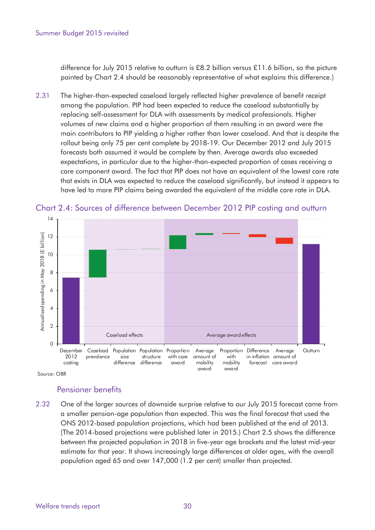<span id="page-33-0"></span>difference for July 2015 relative to outturn is £8.2 billion versus £11.6 billion, so the picture painted by Chart 2.4 should be reasonably representative of what explains this difference.)

2.31 The higher-than-expected caseload largely reflected higher prevalence of benefit receipt among the population. PIP had been expected to reduce the caseload substantially by replacing self-assessment for DLA with assessments by medical professionals. Higher volumes of new claims and a higher proportion of them resulting in an award were the main contributors to PIP yielding a higher rather than lower caseload. And that is despite the rollout being only 75 per cent complete by 2018-19. Our December 2012 and July 2015 forecasts both assumed it would be complete by then. Average awards also exceeded expectations, in particular due to the higher-than-expected proportion of cases receiving a care component award. The fact that PIP does not have an equivalent of the lowest care rate that exists in DLA was expected to reduce the caseload significantly, but instead it appears to have led to more PIP claims being awarded the equivalent of the middle care rate in DLA.



Chart 2.4: Sources of difference between December 2012 PIP costing and outturn

Source: OBR

#### Pensioner benefits

2.32 One of the larger sources of downside surprise relative to our July 2015 forecast came from a smaller pension-age population than expected. This was the final forecast that used the ONS 2012-based population projections, which had been published at the end of 2013. (The 2014-based projections were published later in 2015.) Chart 2.5 shows the difference between the projected population in 2018 in five-year age brackets and the latest mid-year estimate for that year. It shows increasingly large differences at older ages, with the overall population aged 65 and over 147,000 (1.2 per cent) smaller than projected.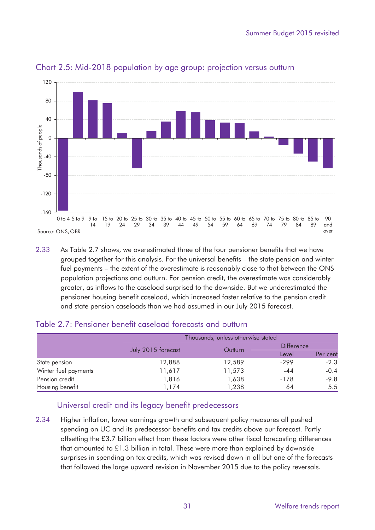

<span id="page-34-0"></span>Chart 2.5: Mid-2018 population by age group: projection versus outturn

2.33 As Table 2.7 shows, we overestimated three of the four pensioner benefits that we have grouped together for this analysis. For the universal benefits – the state pension and winter fuel payments – the extent of the overestimate is reasonably close to that between the ONS population projections and outturn. For pension credit, the overestimate was considerably greater, as inflows to the caseload surprised to the downside. But we underestimated the pensioner housing benefit caseload, which increased faster relative to the pension credit and state pension caseloads than we had assumed in our July 2015 forecast.

|                      |                    | Thousands, unless otherwise stated |                   |               |
|----------------------|--------------------|------------------------------------|-------------------|---------------|
|                      |                    |                                    | <b>Difference</b> |               |
|                      | July 2015 forecast | Outturn                            | Level             | Per cent      |
| State pension        | 12,888             | 12,589                             | $-299$            | $-2.3$        |
| Winter fuel payments | 11,617             | 11,573                             | $-44$             | $-0.4$        |
| Pension credit       | 1,816              | 1,638                              | $-178$            | $-9.8$        |
| Housing benefit      | 1,174              | 1,238                              | 64                | $5.5^{\circ}$ |

#### Table 2.7: Pensioner benefit caseload forecasts and outturn

#### Universal credit and its legacy benefit predecessors

2.34 Higher inflation, lower earnings growth and subsequent policy measures all pushed spending on UC and its predecessor benefits and tax credits above our forecast. Partly offsetting the £3.7 billion effect from these factors were other fiscal forecasting differences that amounted to £1.3 billion in total. These were more than explained by downside surprises in spending on tax credits, which was revised down in all but one of the forecasts that followed the large upward revision in November 2015 due to the policy reversals.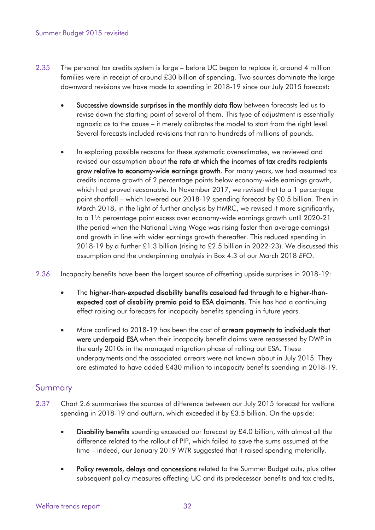- 2.35 The personal tax credits system is large before UC began to replace it, around 4 million families were in receipt of around £30 billion of spending. Two sources dominate the large downward revisions we have made to spending in 2018-19 since our July 2015 forecast:
	- Successive downside surprises in the monthly data flow between forecasts led us to revise down the starting point of several of them. This type of adjustment is essentially agnostic as to the cause – it merely calibrates the model to start from the right level. Several forecasts included revisions that ran to hundreds of millions of pounds.
	- In exploring possible reasons for these systematic overestimates, we reviewed and revised our assumption about the rate at which the incomes of tax credits recipients grow relative to economy-wide earnings growth. For many years, we had assumed tax credits income growth of 2 percentage points below economy-wide earnings growth, which had proved reasonable. In November 2017, we revised that to a 1 percentage point shortfall – which lowered our 2018-19 spending forecast by £0.5 billion. Then in March 2018, in the light of further analysis by HMRC, we revised it more significantly, to a 1½ percentage point excess over economy-wide earnings growth until 2020-21 (the period when the National Living Wage was rising faster than average earnings) and growth in line with wider earnings growth thereafter. This reduced spending in 2018-19 by a further £1.3 billion (rising to £2.5 billion in 2022-23). We discussed this assumption and the underpinning analysis in Box 4.3 of our March 2018 *EFO*.
- 2.36 Incapacity benefits have been the largest source of offsetting upside surprises in 2018-19:
	- The higher-than-expected disability benefits caseload fed through to a higher-thanexpected cost of disability premia paid to ESA claimants. This has had a continuing effect raising our forecasts for incapacity benefits spending in future years.
	- More confined to 2018-19 has been the cost of arrears payments to individuals that were underpaid ESA when their incapacity benefit claims were reassessed by DWP in the early 2010s in the managed migration phase of rolling out ESA. These underpayments and the associated arrears were not known about in July 2015. They are estimated to have added £430 million to incapacity benefits spending in 2018-19.

#### Summary

- 2.37 Chart 2.6 summarises the sources of difference between our July 2015 forecast for welfare spending in 2018-19 and outturn, which exceeded it by £3.5 billion. On the upside:
	- Disability benefits spending exceeded our forecast by  $£4.0$  billion, with almost all the difference related to the rollout of PIP, which failed to save the sums assumed at the time – indeed, our January 2019 *WTR* suggested that it raised spending materially.
	- Policy reversals, delays and concessions related to the Summer Budget cuts, plus other subsequent policy measures affecting UC and its predecessor benefits and tax credits,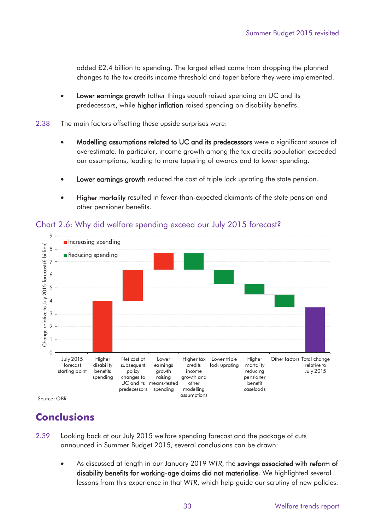<span id="page-36-0"></span> added £2.4 billion to spending. The largest effect came from dropping the planned changes to the tax credits income threshold and taper before they were implemented.

- Lower earnings growth (other things equal) raised spending on UC and its predecessors, while higher inflation raised spending on disability benefits.
- 2.38 The main factors offsetting these upside surprises were:
	- Modelling assumptions related to UC and its predecessors were a significant source of overestimate. In particular, income growth among the tax credits population exceeded our assumptions, leading to more tapering of awards and to lower spending.
	- Lower earnings growth reduced the cost of triple lock uprating the state pension.
	- Higher mortality resulted in fewer-than-expected claimants of the state pension and other pensioner benefits.



#### Chart 2.6: Why did welfare spending exceed our July 2015 forecast?

Source: OBR

## **Conclusions**

- 2.39 Looking back at our July 2015 welfare spending forecast and the package of cuts announced in Summer Budget 2015, several conclusions can be drawn:
	- As discussed at length in our January 2019 *WTR*, the savings associated with reform of disability benefits for working-age claims did not materialise. We highlighted several lessons from this experience in that *WTR*, which help guide our scrutiny of new policies.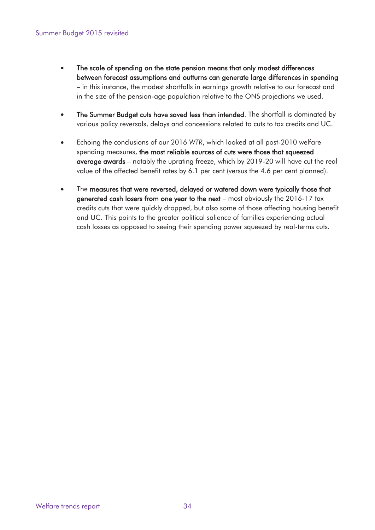- between forecast assumptions and outturns can generate large differences in spending • The scale of spending on the state pension means that only modest differences – in this instance, the modest shortfalls in earnings growth relative to our forecast and in the size of the pension-age population relative to the ONS projections we used.
- The Summer Budget cuts have saved less than intended. The shortfall is dominated by various policy reversals, delays and concessions related to cuts to tax credits and UC.
- Echoing the conclusions of our 2016 *WTR*, which looked at all post-2010 welfare spending measures, the most reliable sources of cuts were those that squeezed average awards – notably the uprating freeze, which by 2019-20 will have cut the real value of the affected benefit rates by 6.1 per cent (versus the 4.6 per cent planned).
- The measures that were reversed, delayed or watered down were typically those that generated cash losers from one year to the next – most obviously the 2016-17 tax credits cuts that were quickly dropped, but also some of those affecting housing benefit and UC. This points to the greater political salience of families experiencing actual cash losses as opposed to seeing their spending power squeezed by real-terms cuts.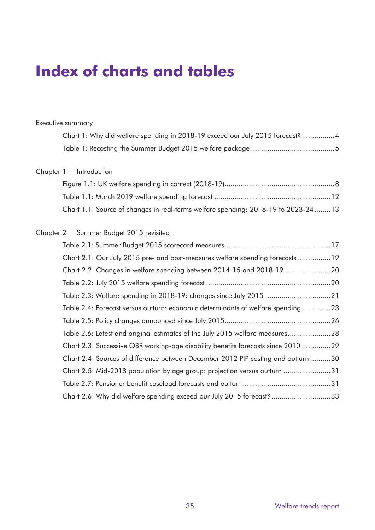# <span id="page-38-0"></span>**Index of charts and tables**

#### Executive summary

| Chart 1: Why did welfare spending in 2018-19 exceed our July 2015 forecast?4 |  |
|------------------------------------------------------------------------------|--|
|                                                                              |  |

#### Chapter 1 Introduction

| Chart 1.1: Source of changes in real-terms welfare spending: 2018-19 to 2023-2413 |  |
|-----------------------------------------------------------------------------------|--|

#### Chapter 2 Summer Budget 2015 revisited

| Chart 2.1: Our July 2015 pre- and post-measures welfare spending forecasts 19     |  |
|-----------------------------------------------------------------------------------|--|
| Chart 2.2: Changes in welfare spending between 2014-15 and 2018-19                |  |
|                                                                                   |  |
| Table 2.3: Welfare spending in 2018-19: changes since July 2015 21                |  |
| Table 2.4: Forecast versus outturn: economic determinants of welfare spending 23  |  |
|                                                                                   |  |
| Table 2.6: Latest and original estimates of the July 2015 welfare measures28      |  |
| Chart 2.3: Successive OBR working-age disability benefits forecasts since 2010 29 |  |
| Chart 2.4: Sources of difference between December 2012 PIP costing and outturn 30 |  |
| Chart 2.5: Mid-2018 population by age group: projection versus outturn 31         |  |
|                                                                                   |  |
| Chart 2.6: Why did welfare spending exceed our July 2015 forecast? 33             |  |